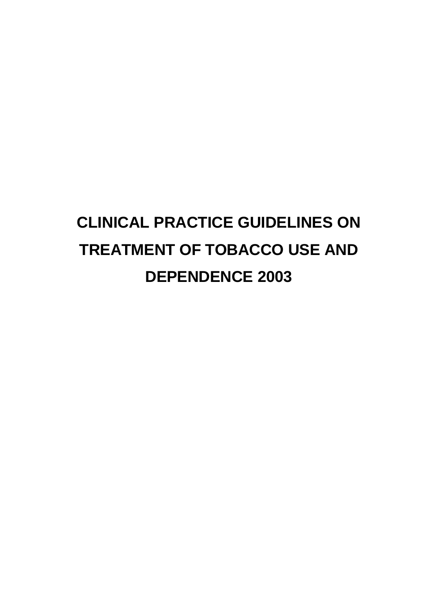# **CLINICAL PRACTICE GUIDELINES ON TREATMENT OF TOBACCO USE AND DEPENDENCE 2003**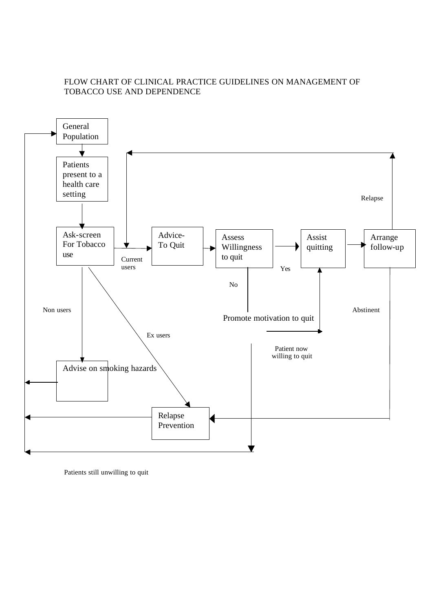## FLOW CHART OF CLINICAL PRACTICE GUIDELINES ON MANAGEMENT OF TOBACCO USE AND DEPENDENCE



Patients still unwilling to quit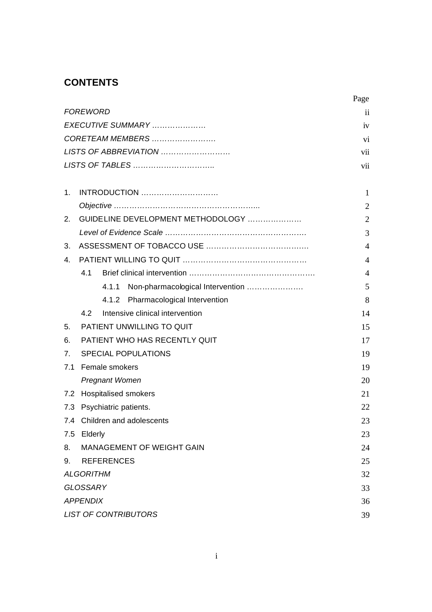# **CONTENTS**

|     |                                           | Page           |  |
|-----|-------------------------------------------|----------------|--|
|     | <b>FOREWORD</b>                           | ii             |  |
|     | EXECUTIVE SUMMARY                         | iv             |  |
|     | CORETEAM MEMBERS                          | vi             |  |
|     | LISTS OF ABBREVIATION                     | vii            |  |
|     | LISTS OF TABLES                           | vii            |  |
| 1.  | INTRODUCTION                              | 1              |  |
|     |                                           | $\overline{2}$ |  |
| 2.  | GUIDELINE DEVELOPMENT METHODOLOGY         | $\overline{2}$ |  |
|     |                                           | 3              |  |
| 3.  |                                           | $\overline{4}$ |  |
| 4.  |                                           | 4              |  |
|     | 4.1                                       | $\overline{4}$ |  |
|     | Non-pharmacological Intervention<br>4.1.1 | 5              |  |
|     | Pharmacological Intervention<br>4.1.2     | 8              |  |
|     | 4.2<br>Intensive clinical intervention    | 14             |  |
| 5.  | PATIENT UNWILLING TO QUIT                 | 15             |  |
| 6.  | PATIENT WHO HAS RECENTLY QUIT<br>17       |                |  |
| 7.  | <b>SPECIAL POPULATIONS</b><br>19          |                |  |
| 7.1 | Female smokers                            | 19             |  |
|     | <b>Pregnant Women</b>                     | 20             |  |
| 7.2 | <b>Hospitalised smokers</b>               | 21             |  |
|     | 7.3 Psychiatric patients.                 | 22             |  |
| 7.4 | Children and adolescents                  | 23             |  |
| 7.5 | Elderly                                   | 23             |  |
| 8.  | <b>MANAGEMENT OF WEIGHT GAIN</b>          | 24             |  |
| 9.  | <b>REFERENCES</b><br>25                   |                |  |
|     | <b>ALGORITHM</b>                          | 32             |  |
|     | <b>GLOSSARY</b>                           | 33             |  |
|     | <b>APPENDIX</b>                           | 36             |  |
|     | <b>LIST OF CONTRIBUTORS</b>               | 39             |  |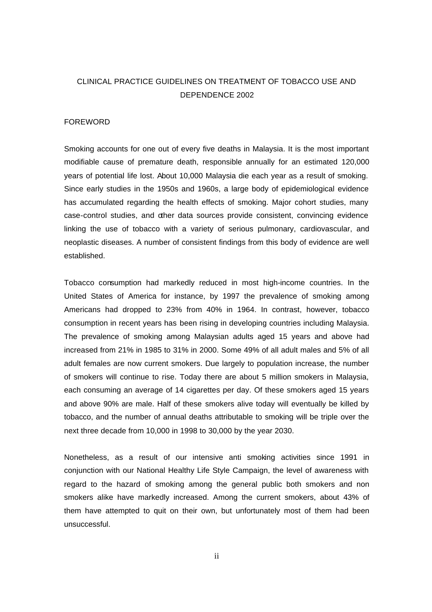## CLINICAL PRACTICE GUIDELINES ON TREATMENT OF TOBACCO USE AND DEPENDENCE 2002

#### FOREWORD

Smoking accounts for one out of every five deaths in Malaysia. It is the most important modifiable cause of premature death, responsible annually for an estimated 120,000 years of potential life lost. About 10,000 Malaysia die each year as a result of smoking. Since early studies in the 1950s and 1960s, a large body of epidemiological evidence has accumulated regarding the health effects of smoking. Major cohort studies, many case-control studies, and other data sources provide consistent, convincing evidence linking the use of tobacco with a variety of serious pulmonary, cardiovascular, and neoplastic diseases. A number of consistent findings from this body of evidence are well established.

Tobacco consumption had markedly reduced in most high-income countries. In the United States of America for instance, by 1997 the prevalence of smoking among Americans had dropped to 23% from 40% in 1964. In contrast, however, tobacco consumption in recent years has been rising in developing countries including Malaysia. The prevalence of smoking among Malaysian adults aged 15 years and above had increased from 21% in 1985 to 31% in 2000. Some 49% of all adult males and 5% of all adult females are now current smokers. Due largely to population increase, the number of smokers will continue to rise. Today there are about 5 million smokers in Malaysia, each consuming an average of 14 cigarettes per day. Of these smokers aged 15 years and above 90% are male. Half of these smokers alive today will eventually be killed by tobacco, and the number of annual deaths attributable to smoking will be triple over the next three decade from 10,000 in 1998 to 30,000 by the year 2030.

Nonetheless, as a result of our intensive anti smoking activities since 1991 in conjunction with our National Healthy Life Style Campaign, the level of awareness with regard to the hazard of smoking among the general public both smokers and non smokers alike have markedly increased. Among the current smokers, about 43% of them have attempted to quit on their own, but unfortunately most of them had been unsuccessful.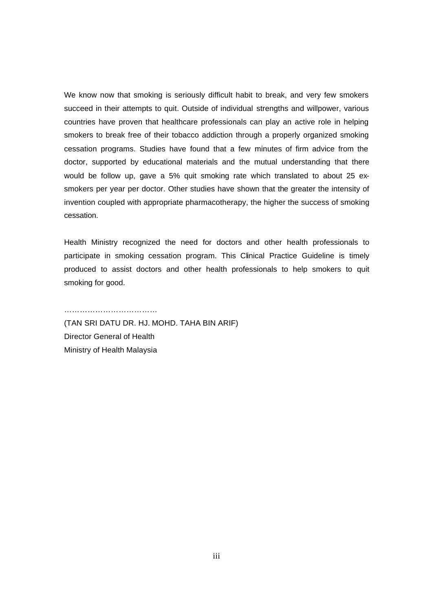We know now that smoking is seriously difficult habit to break, and very few smokers succeed in their attempts to quit. Outside of individual strengths and willpower, various countries have proven that healthcare professionals can play an active role in helping smokers to break free of their tobacco addiction through a properly organized smoking cessation programs. Studies have found that a few minutes of firm advice from the doctor, supported by educational materials and the mutual understanding that there would be follow up, gave a 5% quit smoking rate which translated to about 25 exsmokers per year per doctor. Other studies have shown that the greater the intensity of invention coupled with appropriate pharmacotherapy, the higher the success of smoking cessation.

Health Ministry recognized the need for doctors and other health professionals to participate in smoking cessation program. This Clinical Practice Guideline is timely produced to assist doctors and other health professionals to help smokers to quit smoking for good.

(TAN SRI DATU DR. HJ. MOHD. TAHA BIN ARIF) Director General of Health Ministry of Health Malaysia

………………………………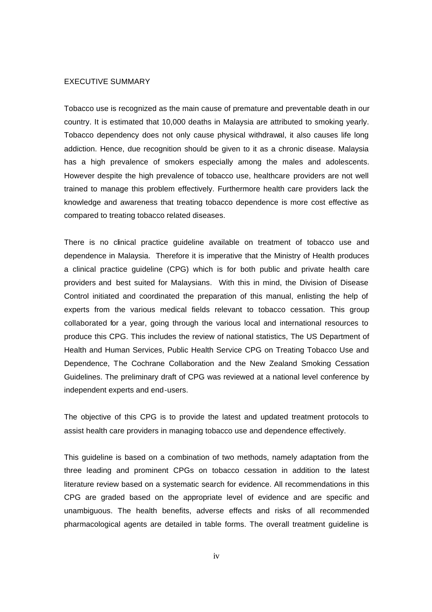#### EXECUTIVE SUMMARY

Tobacco use is recognized as the main cause of premature and preventable death in our country. It is estimated that 10,000 deaths in Malaysia are attributed to smoking yearly. Tobacco dependency does not only cause physical withdrawal, it also causes life long addiction. Hence, due recognition should be given to it as a chronic disease. Malaysia has a high prevalence of smokers especially among the males and adolescents. However despite the high prevalence of tobacco use, healthcare providers are not well trained to manage this problem effectively. Furthermore health care providers lack the knowledge and awareness that treating tobacco dependence is more cost effective as compared to treating tobacco related diseases.

There is no clinical practice guideline available on treatment of tobacco use and dependence in Malaysia. Therefore it is imperative that the Ministry of Health produces a clinical practice guideline (CPG) which is for both public and private health care providers and best suited for Malaysians. With this in mind, the Division of Disease Control initiated and coordinated the preparation of this manual, enlisting the help of experts from the various medical fields relevant to tobacco cessation. This group collaborated for a year, going through the various local and international resources to produce this CPG. This includes the review of national statistics, The US Department of Health and Human Services, Public Health Service CPG on Treating Tobacco Use and Dependence, The Cochrane Collaboration and the New Zealand Smoking Cessation Guidelines. The preliminary draft of CPG was reviewed at a national level conference by independent experts and end-users.

The objective of this CPG is to provide the latest and updated treatment protocols to assist health care providers in managing tobacco use and dependence effectively.

This guideline is based on a combination of two methods, namely adaptation from the three leading and prominent CPGs on tobacco cessation in addition to the latest literature review based on a systematic search for evidence. All recommendations in this CPG are graded based on the appropriate level of evidence and are specific and unambiguous. The health benefits, adverse effects and risks of all recommended pharmacological agents are detailed in table forms. The overall treatment guideline is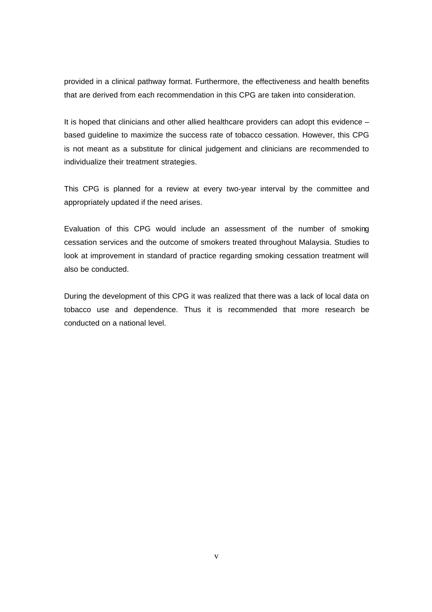provided in a clinical pathway format. Furthermore, the effectiveness and health benefits that are derived from each recommendation in this CPG are taken into consideration.

It is hoped that clinicians and other allied healthcare providers can adopt this evidence – based guideline to maximize the success rate of tobacco cessation. However, this CPG is not meant as a substitute for clinical judgement and clinicians are recommended to individualize their treatment strategies.

This CPG is planned for a review at every two-year interval by the committee and appropriately updated if the need arises.

Evaluation of this CPG would include an assessment of the number of smoking cessation services and the outcome of smokers treated throughout Malaysia. Studies to look at improvement in standard of practice regarding smoking cessation treatment will also be conducted.

During the development of this CPG it was realized that there was a lack of local data on tobacco use and dependence. Thus it is recommended that more research be conducted on a national level.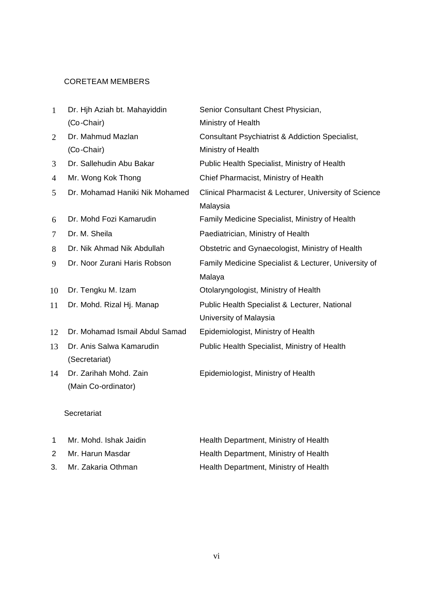## CORETEAM MEMBERS

| 1              | Dr. Hih Aziah bt. Mahayiddin   | Senior Consultant Chest Physician,                         |
|----------------|--------------------------------|------------------------------------------------------------|
|                | (Co-Chair)                     | Ministry of Health                                         |
| $\overline{2}$ | Dr. Mahmud Mazlan              | <b>Consultant Psychiatrist &amp; Addiction Specialist,</b> |
|                | (Co-Chair)                     | Ministry of Health                                         |
| 3              | Dr. Sallehudin Abu Bakar       | Public Health Specialist, Ministry of Health               |
| 4              | Mr. Wong Kok Thong             | Chief Pharmacist, Ministry of Health                       |
| 5              | Dr. Mohamad Haniki Nik Mohamed | Clinical Pharmacist & Lecturer, University of Science      |
|                |                                | Malaysia                                                   |
| 6              | Dr. Mohd Fozi Kamarudin        | Family Medicine Specialist, Ministry of Health             |
| 7              | Dr. M. Sheila                  | Paediatrician, Ministry of Health                          |
| 8              | Dr. Nik Ahmad Nik Abdullah     | Obstetric and Gynaecologist, Ministry of Health            |
| 9              | Dr. Noor Zurani Haris Robson   | Family Medicine Specialist & Lecturer, University of       |
|                |                                | Malaya                                                     |
| 10             | Dr. Tengku M. Izam             | Otolaryngologist, Ministry of Health                       |
| 11             | Dr. Mohd. Rizal Hj. Manap      | Public Health Specialist & Lecturer, National              |
|                |                                | University of Malaysia                                     |
| 12             | Dr. Mohamad Ismail Abdul Samad | Epidemiologist, Ministry of Health                         |
| 13             | Dr. Anis Salwa Kamarudin       | Public Health Specialist, Ministry of Health               |
|                | (Secretariat)                  |                                                            |
| 14             | Dr. Zarihah Mohd. Zain         | Epidemiologist, Ministry of Health                         |
|                | (Main Co-ordinator)            |                                                            |
|                |                                |                                                            |

## Secretariat

|    | Mr. Mohd. Ishak Jaidin | Health Department, Ministry of Health |
|----|------------------------|---------------------------------------|
|    | Mr. Harun Masdar       | Health Department, Ministry of Health |
| 3. | Mr. Zakaria Othman     | Health Department, Ministry of Health |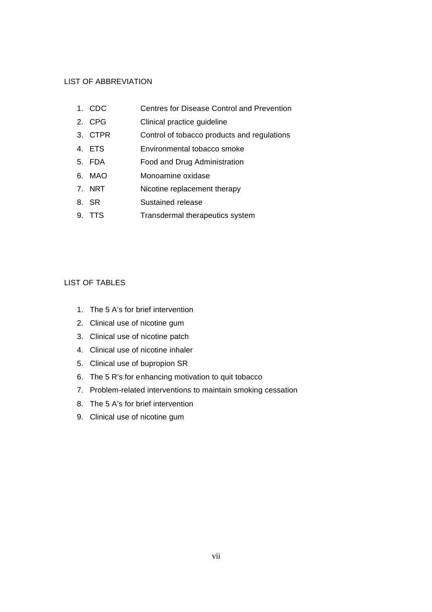#### LIST OF ABBREVIATION

- 1. CDC Centres for Disease Control and Prevention
- 2. CPG Clinical practice guideline
- 3. CTPR Control of tobacco products and regulations
- 4. ETS Environmental tobacco smoke
- 5. FDA Food and Drug Administration
- 6. MAO Monoamine oxidase
- 7. NRT Nicotine replacement therapy
- 8. SR Sustained release
- 9. TTS Transdermal therapeutics system

#### LIST OF TABLES

- 1. The 5 A's for brief intervention
- 2. Clinical use of nicotine gum
- 3. Clinical use of nicotine patch
- 4. Clinical use of nicotine inhaler
- 5. Clinical use of bupropion SR
- 6. The 5 R's for enhancing motivation to quit tobacco
- 7. Problem-related interventions to maintain smoking cessation
- 8. The 5 A's for brief intervention
- 9. Clinical use of nicotine gum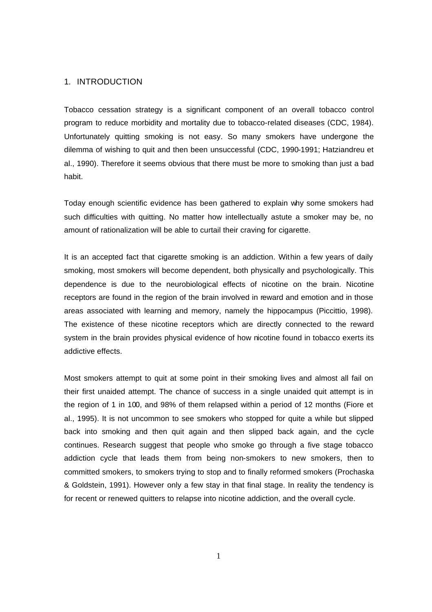#### 1. INTRODUCTION

Tobacco cessation strategy is a significant component of an overall tobacco control program to reduce morbidity and mortality due to tobacco-related diseases (CDC, 1984). Unfortunately quitting smoking is not easy. So many smokers have undergone the dilemma of wishing to quit and then been unsuccessful (CDC, 1990-1991; Hatziandreu et al., 1990). Therefore it seems obvious that there must be more to smoking than just a bad habit.

Today enough scientific evidence has been gathered to explain why some smokers had such difficulties with quitting. No matter how intellectually astute a smoker may be, no amount of rationalization will be able to curtail their craving for cigarette.

It is an accepted fact that cigarette smoking is an addiction. Within a few years of daily smoking, most smokers will become dependent, both physically and psychologically. This dependence is due to the neurobiological effects of nicotine on the brain. Nicotine receptors are found in the region of the brain involved in reward and emotion and in those areas associated with learning and memory, namely the hippocampus (Piccittio, 1998). The existence of these nicotine receptors which are directly connected to the reward system in the brain provides physical evidence of how nicotine found in tobacco exerts its addictive effects.

Most smokers attempt to quit at some point in their smoking lives and almost all fail on their first unaided attempt. The chance of success in a single unaided quit attempt is in the region of 1 in 100, and 98% of them relapsed within a period of 12 months (Fiore et al., 1995). It is not uncommon to see smokers who stopped for quite a while but slipped back into smoking and then quit again and then slipped back again, and the cycle continues. Research suggest that people who smoke go through a five stage tobacco addiction cycle that leads them from being non-smokers to new smokers, then to committed smokers, to smokers trying to stop and to finally reformed smokers (Prochaska & Goldstein, 1991). However only a few stay in that final stage. In reality the tendency is for recent or renewed quitters to relapse into nicotine addiction, and the overall cycle.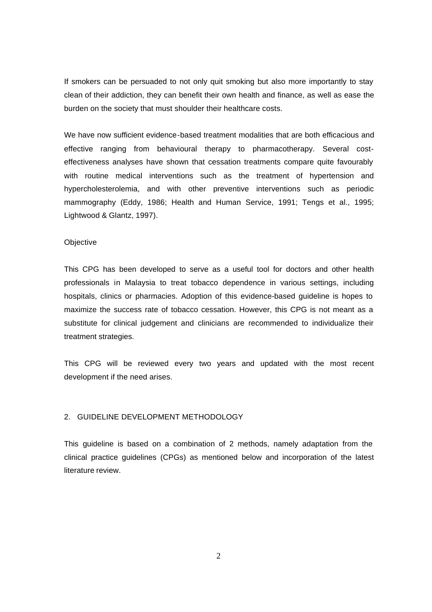If smokers can be persuaded to not only quit smoking but also more importantly to stay clean of their addiction, they can benefit their own health and finance, as well as ease the burden on the society that must shoulder their healthcare costs.

We have now sufficient evidence-based treatment modalities that are both efficacious and effective ranging from behavioural therapy to pharmacotherapy. Several costeffectiveness analyses have shown that cessation treatments compare quite favourably with routine medical interventions such as the treatment of hypertension and hypercholesterolemia, and with other preventive interventions such as periodic mammography (Eddy, 1986; Health and Human Service, 1991; Tengs et al., 1995; Lightwood & Glantz, 1997).

#### **Objective**

This CPG has been developed to serve as a useful tool for doctors and other health professionals in Malaysia to treat tobacco dependence in various settings, including hospitals, clinics or pharmacies. Adoption of this evidence-based guideline is hopes to maximize the success rate of tobacco cessation. However, this CPG is not meant as a substitute for clinical judgement and clinicians are recommended to individualize their treatment strategies.

This CPG will be reviewed every two years and updated with the most recent development if the need arises.

#### 2. GUIDELINE DEVELOPMENT METHODOLOGY

This guideline is based on a combination of 2 methods, namely adaptation from the clinical practice guidelines (CPGs) as mentioned below and incorporation of the latest literature review.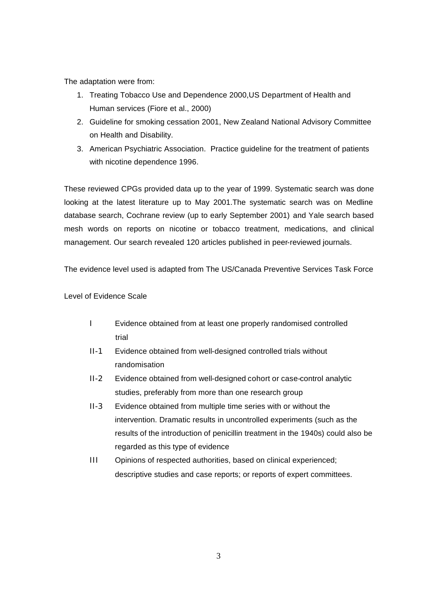The adaptation were from:

- 1. Treating Tobacco Use and Dependence 2000,US Department of Health and Human services (Fiore et al., 2000)
- 2. Guideline for smoking cessation 2001, New Zealand National Advisory Committee on Health and Disability.
- 3. American Psychiatric Association. Practice guideline for the treatment of patients with nicotine dependence 1996.

These reviewed CPGs provided data up to the year of 1999. Systematic search was done looking at the latest literature up to May 2001.The systematic search was on Medline database search, Cochrane review (up to early September 2001) and Yale search based mesh words on reports on nicotine or tobacco treatment, medications, and clinical management. Our search revealed 120 articles published in peer-reviewed journals.

The evidence level used is adapted from The US/Canada Preventive Services Task Force

Level of Evidence Scale

- I Evidence obtained from at least one properly randomised controlled trial
- II-1 Evidence obtained from well-designed controlled trials without randomisation
- II-2 Evidence obtained from well-designed cohort or case-control analytic studies, preferably from more than one research group
- II-3 Evidence obtained from multiple time series with or without the intervention. Dramatic results in uncontrolled experiments (such as the results of the introduction of penicillin treatment in the 1940s) could also be regarded as this type of evidence
- III Opinions of respected authorities, based on clinical experienced; descriptive studies and case reports; or reports of expert committees.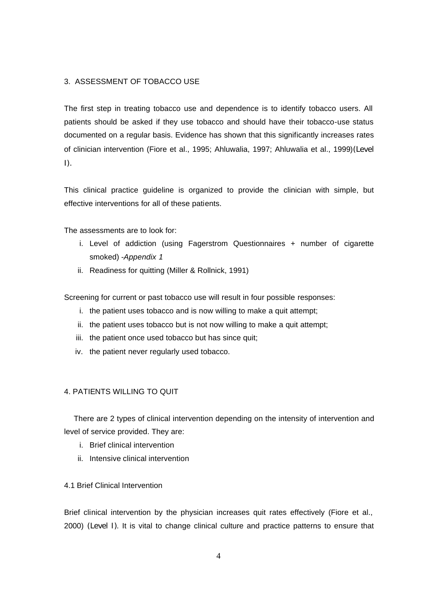#### 3. ASSESSMENT OF TOBACCO USE

The first step in treating tobacco use and dependence is to identify tobacco users. All patients should be asked if they use tobacco and should have their tobacco-use status documented on a regular basis. Evidence has shown that this significantly increases rates of clinician intervention (Fiore et al., 1995; Ahluwalia, 1997; Ahluwalia et al., 1999)(Level  $\vert$ ).

This clinical practice guideline is organized to provide the clinician with simple, but effective interventions for all of these patients.

The assessments are to look for:

- i. Level of addiction (using Fagerstrom Questionnaires + number of cigarette smoked) -*Appendix 1*
- ii. Readiness for quitting (Miller & Rollnick, 1991)

Screening for current or past tobacco use will result in four possible responses:

- i. the patient uses tobacco and is now willing to make a quit attempt;
- ii. the patient uses tobacco but is not now willing to make a quit attempt;
- iii. the patient once used tobacco but has since quit;
- iv. the patient never regularly used tobacco.

#### 4. PATIENTS WILLING TO QUIT

 There are 2 types of clinical intervention depending on the intensity of intervention and level of service provided. They are:

- i. Brief clinical intervention
- ii. Intensive clinical intervention

#### 4.1 Brief Clinical Intervention

Brief clinical intervention by the physician increases quit rates effectively (Fiore et al., 2000) (Level I). It is vital to change clinical culture and practice patterns to ensure that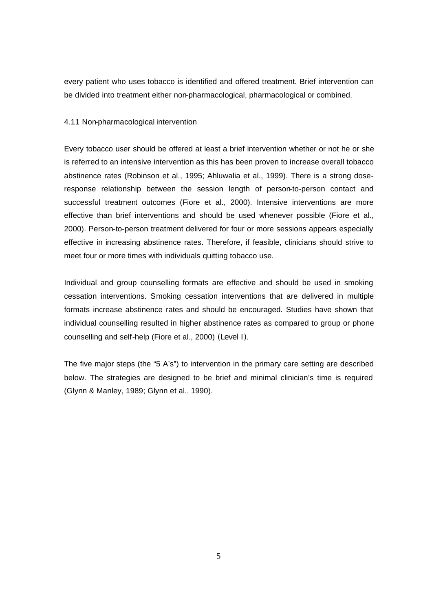every patient who uses tobacco is identified and offered treatment. Brief intervention can be divided into treatment either non-pharmacological, pharmacological or combined.

#### 4.11 Non-pharmacological intervention

Every tobacco user should be offered at least a brief intervention whether or not he or she is referred to an intensive intervention as this has been proven to increase overall tobacco abstinence rates (Robinson et al., 1995; Ahluwalia et al., 1999). There is a strong doseresponse relationship between the session length of person-to-person contact and successful treatment outcomes (Fiore et al., 2000). Intensive interventions are more effective than brief interventions and should be used whenever possible (Fiore et al., 2000). Person-to-person treatment delivered for four or more sessions appears especially effective in increasing abstinence rates. Therefore, if feasible, clinicians should strive to meet four or more times with individuals quitting tobacco use.

Individual and group counselling formats are effective and should be used in smoking cessation interventions. Smoking cessation interventions that are delivered in multiple formats increase abstinence rates and should be encouraged. Studies have shown that individual counselling resulted in higher abstinence rates as compared to group or phone counselling and self-help (Fiore et al., 2000) (Level I).

The five major steps (the "5 A's") to intervention in the primary care setting are described below. The strategies are designed to be brief and minimal clinician's time is required (Glynn & Manley, 1989; Glynn et al., 1990).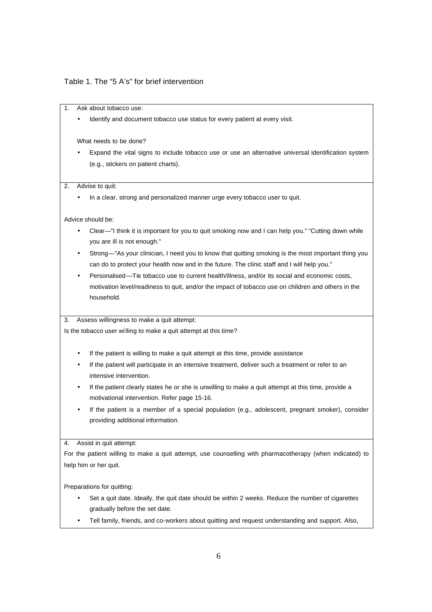#### Table 1. The "5 A's" for brief intervention

1. Ask about tobacco use:

Identify and document tobacco use status for every patient at every visit.

What needs to be done?

• Expand the vital signs to include tobacco use or use an alternative universal identification system (e.g., stickers on patient charts).

2. Advise to quit:

• In a clear, strong and personalized manner urge every tobacco user to quit.

Advice should be:

- Clear—"I think it is important for you to quit smoking now and I can help you." "Cutting down while you are ill is not enough."
- Strong—"As your clinician, I need you to know that quitting smoking is the most important thing you can do to protect your health now and in the future. The clinic staff and I will help you."
- Personalised—Tie tobacco use to current health/illness, and/or its social and economic costs, motivation level/readiness to quit, and/or the impact of tobacco use on children and others in the household.

3. Assess willingness to make a quit attempt:

Is the tobacco user wi lling to make a quit attempt at this time?

- If the patient is willing to make a quit attempt at this time, provide assistance
- If the patient will participate in an intensive treatment, deliver such a treatment or refer to an intensive intervention.
- If the patient clearly states he or she is unwilling to make a quit attempt at this time, provide a motivational intervention. Refer page 15-16.
- If the patient is a member of a special population (e.g., adolescent, pregnant smoker), consider providing additional information.

4. Assist in quit attempt:

For the patient willing to make a quit attempt, use counselling with pharmacotherapy (when indicated) to help him or her quit.

Preparations for quitting:

- Set a quit date. Ideally, the quit date should be within 2 weeks. Reduce the number of cigarettes gradually before the set date.
- Tell family, friends, and co-workers about quitting and request understanding and support. Also,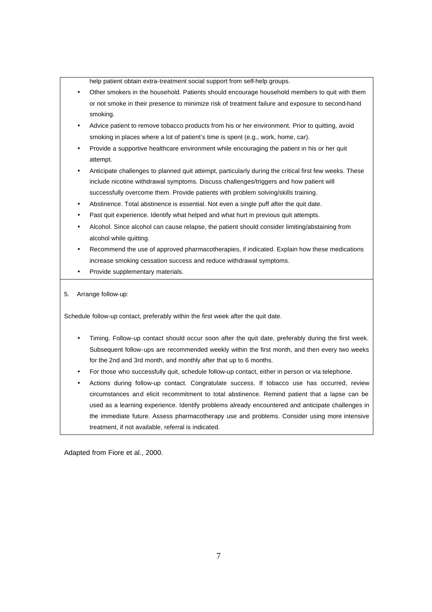help patient obtain extra-treatment social support from self-help groups.

- Other smokers in the household. Patients should encourage household members to quit with them or not smoke in their presence to minimize risk of treatment failure and exposure to second-hand smoking.
- Advice patient to remove tobacco products from his or her environment. Prior to quitting, avoid smoking in places where a lot of patient's time is spent (e.g., work, home, car).
- Provide a supportive healthcare environment while encouraging the patient in his or her quit attempt.
- Anticipate challenges to planned quit attempt, particularly during the critical first few weeks. These include nicotine withdrawal symptoms. Discuss challenges/triggers and how patient will successfully overcome them. Provide patients with problem solving/skills training.
- Abstinence. Total abstinence is essential. Not even a single puff after the quit date.
- Past quit experience. Identify what helped and what hurt in previous quit attempts.
- Alcohol. Since alcohol can cause relapse, the patient should consider limiting/abstaining from alcohol while quitting.
- Recommend the use of approved pharmacotherapies, if indicated. Explain how these medications increase smoking cessation success and reduce withdrawal symptoms.
- Provide supplementary materials.
- 5. Arrange follow-up:

Schedule follow-up contact, preferably within the first week after the quit date.

- Timing. Follow-up contact should occur soon after the quit date, preferably during the first week. Subsequent follow-ups are recommended weekly within the first month, and then every two weeks for the 2nd and 3rd month, and monthly after that up to 6 months.
- For those who successfully quit, schedule follow-up contact, either in person or via telephone.
- Actions during follow-up contact. Congratulate success. If tobacco use has occurred, review circumstances and elicit recommitment to total abstinence. Remind patient that a lapse can be used as a learning experience. Identify problems already encountered and anticipate challenges in the immediate future. Assess pharmacotherapy use and problems. Consider using more intensive treatment, if not available, referral is indicated.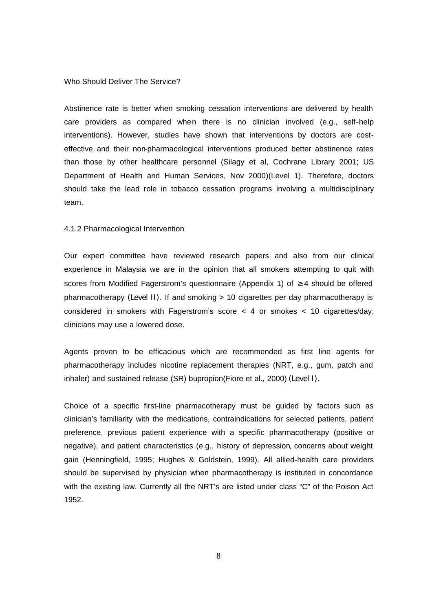#### Who Should Deliver The Service?

Abstinence rate is better when smoking cessation interventions are delivered by health care providers as compared when there is no clinician involved (e.g., self-help interventions). However, studies have shown that interventions by doctors are costeffective and their non-pharmacological interventions produced better abstinence rates than those by other healthcare personnel (Silagy et al, Cochrane Library 2001; US Department of Health and Human Services, Nov 2000)(Level 1). Therefore, doctors should take the lead role in tobacco cessation programs involving a multidisciplinary team.

#### 4.1.2 Pharmacological Intervention

Our expert committee have reviewed research papers and also from our clinical experience in Malaysia we are in the opinion that all smokers attempting to quit with scores from Modified Fagerstrom's questionnaire (Appendix 1) of  $\geq$  4 should be offered pharmacotherapy (Level II). If and smoking > 10 cigarettes per day pharmacotherapy is considered in smokers with Fagerstrom's score < 4 or smokes < 10 cigarettes/day, clinicians may use a lowered dose.

Agents proven to be efficacious which are recommended as first line agents for pharmacotherapy includes nicotine replacement therapies (NRT, e.g., gum, patch and inhaler) and sustained release (SR) bupropion(Fiore et al., 2000) (Level I).

Choice of a specific first-line pharmacotherapy must be guided by factors such as clinician's familiarity with the medications, contraindications for selected patients, patient preference, previous patient experience with a specific pharmacotherapy (positive or negative), and patient characteristics (e.g., history of depression, concerns about weight gain (Henningfield, 1995; Hughes & Goldstein, 1999). All allied-health care providers should be supervised by physician when pharmacotherapy is instituted in concordance with the existing law. Currently all the NRT's are listed under class "C" of the Poison Act 1952.

8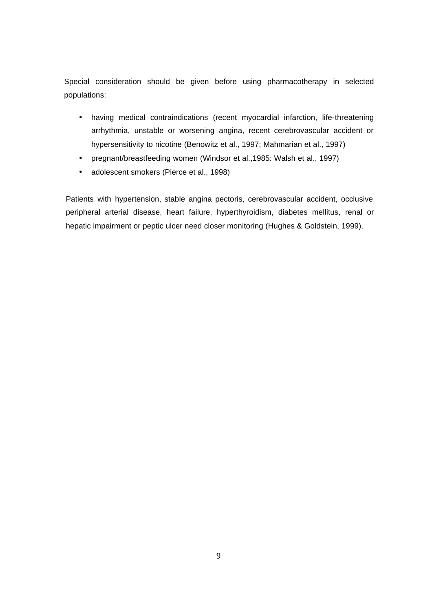Special consideration should be given before using pharmacotherapy in selected populations:

- having medical contraindications (recent myocardial infarction, life-threatening arrhythmia, unstable or worsening angina, recent cerebrovascular accident or hypersensitivity to nicotine (Benowitz et al., 1997; Mahmarian et al., 1997)
- pregnant/breastfeeding women (Windsor et al.,1985: Walsh et al., 1997)
- adolescent smokers (Pierce et al., 1998)

Patients with hypertension, stable angina pectoris, cerebrovascular accident, occlusive peripheral arterial disease, heart failure, hyperthyroidism, diabetes mellitus, renal or hepatic impairment or peptic ulcer need closer monitoring (Hughes & Goldstein, 1999).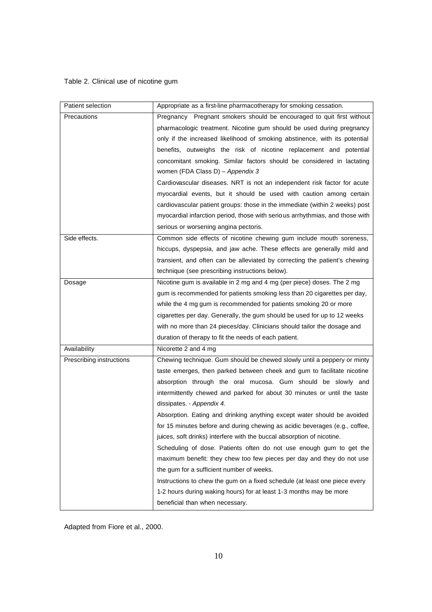## Table 2. Clinical use of nicotine gum

| Patient selection        | Appropriate as a first-line pharmacotherapy for smoking cessation.           |
|--------------------------|------------------------------------------------------------------------------|
| Precautions              | Pregnancy Pregnant smokers should be encouraged to quit first without        |
|                          | pharmacologic treatment. Nicotine gum should be used during pregnancy        |
|                          | only if the increased likelihood of smoking abstinence, with its potential   |
|                          | benefits, outweighs the risk of nicotine replacement and potential           |
|                          | concomitant smoking. Similar factors should be considered in lactating       |
|                          | women (FDA Class D) - Appendix 3                                             |
|                          | Cardiovascular diseases. NRT is not an independent risk factor for acute     |
|                          | myocardial events, but it should be used with caution among certain          |
|                          | cardiovascular patient groups: those in the immediate (within 2 weeks) post  |
|                          | myocardial infarction period, those with serious arrhythmias, and those with |
|                          | serious or worsening angina pectoris.                                        |
| Side effects.            | Common side effects of nicotine chewing gum include mouth soreness,          |
|                          | hiccups, dyspepsia, and jaw ache. These effects are generally mild and       |
|                          | transient, and often can be alleviated by correcting the patient's chewing   |
|                          | technique (see prescribing instructions below).                              |
| Dosage                   | Nicotine gum is available in 2 mg and 4 mg (per piece) doses. The 2 mg       |
|                          | gum is recommended for patients smoking less than 20 cigarettes per day,     |
|                          | while the 4 mg gum is recommended for patients smoking 20 or more            |
|                          | cigarettes per day. Generally, the gum should be used for up to 12 weeks     |
|                          | with no more than 24 pieces/day. Clinicians should tailor the dosage and     |
|                          | duration of therapy to fit the needs of each patient.                        |
| Availability             | Nicorette 2 and 4 mg                                                         |
| Prescribing instructions | Chewing technique. Gum should be chewed slowly until a peppery or minty      |
|                          | taste emerges, then parked between cheek and gum to facilitate nicotine      |
|                          | absorption through the oral mucosa. Gum should be slowly and                 |
|                          | intermittently chewed and parked for about 30 minutes or until the taste     |
|                          | dissipates. - Appendix 4.                                                    |
|                          | Absorption. Eating and drinking anything except water should be avoided      |
|                          | for 15 minutes before and during chewing as acidic beverages (e.g., coffee,  |
|                          | juices, soft drinks) interfere with the buccal absorption of nicotine.       |
|                          | Scheduling of dose. Patients often do not use enough gum to get the          |
|                          | maximum benefit: they chew too few pieces per day and they do not use        |
|                          | the gum for a sufficient number of weeks.                                    |
|                          | Instructions to chew the gum on a fixed schedule (at least one piece every   |
|                          | 1-2 hours during waking hours) for at least 1-3 months may be more           |
|                          | beneficial than when necessary.                                              |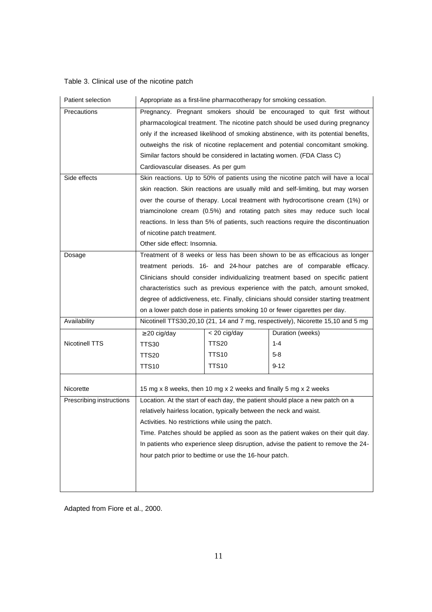## Table 3. Clinical use of the nicotine patch

| Patient selection                                                                    | Appropriate as a first-line pharmacotherapy for smoking cessation.                |              |                                                                                      |
|--------------------------------------------------------------------------------------|-----------------------------------------------------------------------------------|--------------|--------------------------------------------------------------------------------------|
| Precautions                                                                          | Pregnancy. Pregnant smokers should be encouraged to quit first without            |              |                                                                                      |
|                                                                                      |                                                                                   |              | pharmacological treatment. The nicotine patch should be used during pregnancy        |
|                                                                                      |                                                                                   |              | only if the increased likelihood of smoking abstinence, with its potential benefits, |
|                                                                                      |                                                                                   |              | outweighs the risk of nicotine replacement and potential concomitant smoking.        |
|                                                                                      |                                                                                   |              | Similar factors should be considered in lactating women. (FDA Class C)               |
|                                                                                      | Cardiovascular diseases. As per gum                                               |              |                                                                                      |
| Side effects                                                                         |                                                                                   |              | Skin reactions. Up to 50% of patients using the nicotine patch will have a local     |
|                                                                                      |                                                                                   |              | skin reaction. Skin reactions are usually mild and self-limiting, but may worsen     |
|                                                                                      |                                                                                   |              | over the course of therapy. Local treatment with hydrocortisone cream (1%) or        |
|                                                                                      |                                                                                   |              | triamcinolone cream (0.5%) and rotating patch sites may reduce such local            |
|                                                                                      |                                                                                   |              | reactions. In less than 5% of patients, such reactions require the discontinuation   |
|                                                                                      | of nicotine patch treatment.                                                      |              |                                                                                      |
|                                                                                      | Other side effect: Insomnia.                                                      |              |                                                                                      |
| Treatment of 8 weeks or less has been shown to be as efficacious as longer<br>Dosage |                                                                                   |              |                                                                                      |
|                                                                                      |                                                                                   |              | treatment periods. 16- and 24-hour patches are of comparable efficacy.               |
|                                                                                      |                                                                                   |              | Clinicians should consider individualizing treatment based on specific patient       |
|                                                                                      |                                                                                   |              | characteristics such as previous experience with the patch, amount smoked,           |
|                                                                                      |                                                                                   |              | degree of addictiveness, etc. Finally, clinicians should consider starting treatment |
|                                                                                      |                                                                                   |              | on a lower patch dose in patients smoking 10 or fewer cigarettes per day.            |
| Availability                                                                         | Nicotinell TTS30,20,10 (21, 14 and 7 mg, respectively), Nicorette 15,10 and 5 mg  |              |                                                                                      |
|                                                                                      | $\geq$ 20 cig/day                                                                 | < 20 cig/day | Duration (weeks)                                                                     |
| Nicotinell TTS                                                                       | <b>TTS30</b>                                                                      | <b>TTS20</b> | $1 - 4$                                                                              |
|                                                                                      | TTS20                                                                             | TTS10        | $5 - 8$                                                                              |
|                                                                                      | <b>TTS10</b>                                                                      | <b>TTS10</b> | $9 - 12$                                                                             |
|                                                                                      |                                                                                   |              |                                                                                      |
| Nicorette                                                                            | 15 mg x 8 weeks, then 10 mg x 2 weeks and finally 5 mg x 2 weeks                  |              |                                                                                      |
| Prescribing instructions                                                             |                                                                                   |              | Location. At the start of each day, the patient should place a new patch on a        |
|                                                                                      | relatively hairless location, typically between the neck and waist.               |              |                                                                                      |
|                                                                                      | Activities. No restrictions while using the patch.                                |              |                                                                                      |
|                                                                                      | Time. Patches should be applied as soon as the patient wakes on their quit day.   |              |                                                                                      |
|                                                                                      | In patients who experience sleep disruption, advise the patient to remove the 24- |              |                                                                                      |
|                                                                                      | hour patch prior to bedtime or use the 16-hour patch.                             |              |                                                                                      |
|                                                                                      |                                                                                   |              |                                                                                      |
|                                                                                      |                                                                                   |              |                                                                                      |
|                                                                                      |                                                                                   |              |                                                                                      |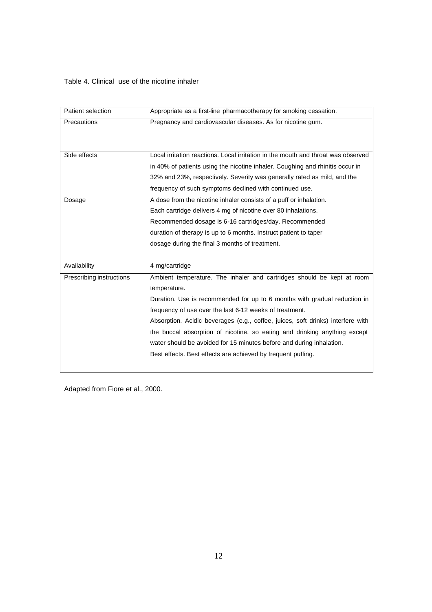## Table 4. Clinical use of the nicotine inhaler

| Patient selection        | Appropriate as a first-line pharmacotherapy for smoking cessation.                |
|--------------------------|-----------------------------------------------------------------------------------|
| Precautions              | Pregnancy and cardiovascular diseases. As for nicotine gum.                       |
|                          |                                                                                   |
|                          |                                                                                   |
| Side effects             | Local irritation reactions. Local irritation in the mouth and throat was observed |
|                          | in 40% of patients using the nicotine inhaler. Coughing and rhinitis occur in     |
|                          | 32% and 23%, respectively. Severity was generally rated as mild, and the          |
|                          | frequency of such symptoms declined with continued use.                           |
| Dosage                   | A dose from the nicotine inhaler consists of a puff or inhalation.                |
|                          | Each cartridge delivers 4 mg of nicotine over 80 inhalations.                     |
|                          | Recommended dosage is 6-16 cartridges/day. Recommended                            |
|                          | duration of therapy is up to 6 months. Instruct patient to taper                  |
|                          | dosage during the final 3 months of treatment.                                    |
| Availability             | 4 mg/cartridge                                                                    |
| Prescribing instructions | Ambient temperature. The inhaler and cartridges should be kept at room            |
|                          | temperature.                                                                      |
|                          | Duration. Use is recommended for up to 6 months with gradual reduction in         |
|                          | frequency of use over the last 6-12 weeks of treatment.                           |
|                          | Absorption. Acidic beverages (e.g., coffee, juices, soft drinks) interfere with   |
|                          | the buccal absorption of nicotine, so eating and drinking anything except         |
|                          | water should be avoided for 15 minutes before and during inhalation.              |
|                          | Best effects. Best effects are achieved by frequent puffing.                      |
|                          |                                                                                   |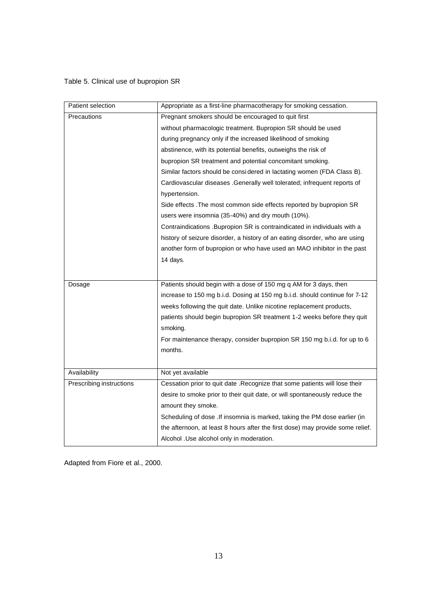## Table 5. Clinical use of bupropion SR

| Patient selection        | Appropriate as a first-line pharmacotherapy for smoking cessation.             |
|--------------------------|--------------------------------------------------------------------------------|
| Precautions              | Pregnant smokers should be encouraged to quit first                            |
|                          | without pharmacologic treatment. Bupropion SR should be used                   |
|                          | during pregnancy only if the increased likelihood of smoking                   |
|                          | abstinence, with its potential benefits, outweighs the risk of                 |
|                          | bupropion SR treatment and potential concomitant smoking.                      |
|                          | Similar factors should be considered in lactating women (FDA Class B).         |
|                          | Cardiovascular diseases . Generally well tolerated; infrequent reports of      |
|                          | hypertension.                                                                  |
|                          | Side effects . The most common side effects reported by bupropion SR           |
|                          | users were insomnia (35-40%) and dry mouth (10%).                              |
|                          | Contraindications .Bupropion SR is contraindicated in individuals with a       |
|                          | history of seizure disorder, a history of an eating disorder, who are using    |
|                          | another form of bupropion or who have used an MAO inhibitor in the past        |
|                          | 14 days.                                                                       |
|                          |                                                                                |
| Dosage                   | Patients should begin with a dose of 150 mg q AM for 3 days, then              |
|                          | increase to 150 mg b.i.d. Dosing at 150 mg b.i.d. should continue for 7-12     |
|                          | weeks following the quit date. Unlike nicotine replacement products,           |
|                          | patients should begin bupropion SR treatment 1-2 weeks before they quit        |
|                          | smoking.                                                                       |
|                          | For maintenance therapy, consider bupropion SR 150 mg b.i.d. for up to 6       |
|                          | months.                                                                        |
|                          |                                                                                |
| Availability             | Not yet available                                                              |
|                          |                                                                                |
| Prescribing instructions | Cessation prior to quit date .Recognize that some patients will lose their     |
|                          | desire to smoke prior to their quit date, or will spontaneously reduce the     |
|                          | amount they smoke.                                                             |
|                          | Scheduling of dose . If insomnia is marked, taking the PM dose earlier (in     |
|                          | the afternoon, at least 8 hours after the first dose) may provide some relief. |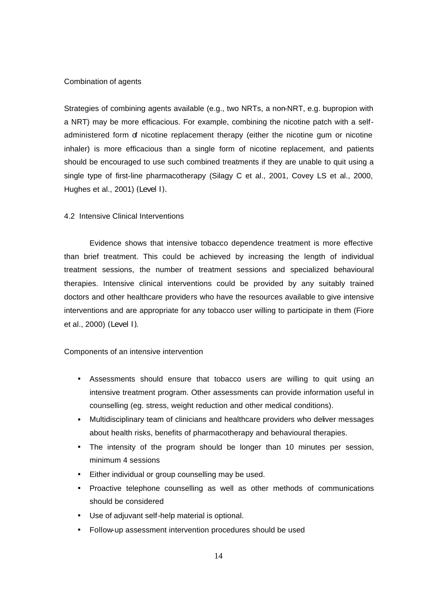#### Combination of agents

Strategies of combining agents available (e.g., two NRTs, a non-NRT, e.g. bupropion with a NRT) may be more efficacious. For example, combining the nicotine patch with a selfadministered form of nicotine replacement therapy (either the nicotine gum or nicotine inhaler) is more efficacious than a single form of nicotine replacement, and patients should be encouraged to use such combined treatments if they are unable to quit using a single type of first-line pharmacotherapy (Silagy C et al., 2001, Covey LS et al., 2000, Hughes et al., 2001) (Level I).

#### 4.2 Intensive Clinical Interventions

Evidence shows that intensive tobacco dependence treatment is more effective than brief treatment. This could be achieved by increasing the length of individual treatment sessions, the number of treatment sessions and specialized behavioural therapies. Intensive clinical interventions could be provided by any suitably trained doctors and other healthcare providers who have the resources available to give intensive interventions and are appropriate for any tobacco user willing to participate in them (Fiore et al., 2000) (Level I).

#### Components of an intensive intervention

- Assessments should ensure that tobacco users are willing to quit using an intensive treatment program. Other assessments can provide information useful in counselling (eg. stress, weight reduction and other medical conditions).
- Multidisciplinary team of clinicians and healthcare providers who deliver messages about health risks, benefits of pharmacotherapy and behavioural therapies.
- The intensity of the program should be longer than 10 minutes per session, minimum 4 sessions
- Either individual or group counselling may be used.
- Proactive telephone counselling as well as other methods of communications should be considered
- Use of adjuvant self-help material is optional.
- Follow-up assessment intervention procedures should be used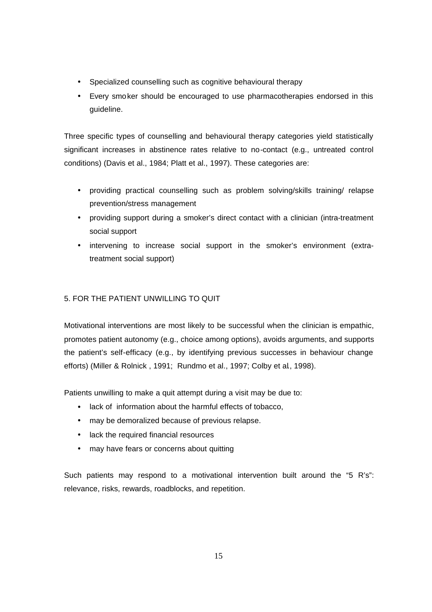- Specialized counselling such as cognitive behavioural therapy
- Every smoker should be encouraged to use pharmacotherapies endorsed in this guideline.

Three specific types of counselling and behavioural therapy categories yield statistically significant increases in abstinence rates relative to no-contact (e.g., untreated control conditions) (Davis et al., 1984; Platt et al., 1997). These categories are:

- providing practical counselling such as problem solving/skills training/ relapse prevention/stress management
- providing support during a smoker's direct contact with a clinician (intra-treatment social support
- intervening to increase social support in the smoker's environment (extratreatment social support)

## 5. FOR THE PATIENT UNWILLING TO QUIT

Motivational interventions are most likely to be successful when the clinician is empathic, promotes patient autonomy (e.g., choice among options), avoids arguments, and supports the patient's self-efficacy (e.g., by identifying previous successes in behaviour change efforts) (Miller & Rolnick , 1991; Rundmo et al., 1997; Colby et al., 1998).

Patients unwilling to make a quit attempt during a visit may be due to:

- lack of information about the harmful effects of tobacco,
- may be demoralized because of previous relapse.
- lack the required financial resources
- may have fears or concerns about quitting

Such patients may respond to a motivational intervention built around the "5 R's": relevance, risks, rewards, roadblocks, and repetition.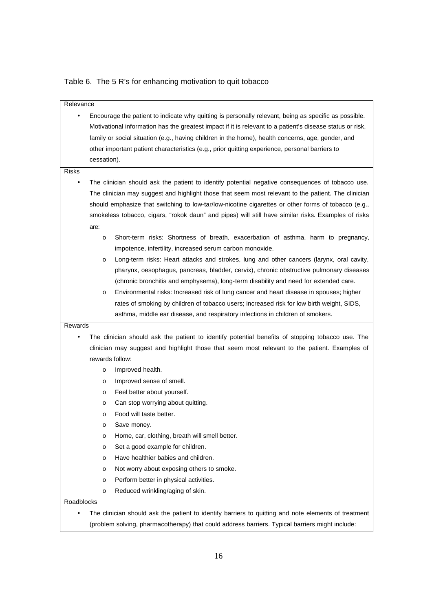Table 6. The 5 R's for enhancing motivation to quit tobacco

| Relevance    |                                                                                                                                                                                                                                                                                                                                                                                                                                                                                                                                                 |
|--------------|-------------------------------------------------------------------------------------------------------------------------------------------------------------------------------------------------------------------------------------------------------------------------------------------------------------------------------------------------------------------------------------------------------------------------------------------------------------------------------------------------------------------------------------------------|
| $\bullet$    | Encourage the patient to indicate why quitting is personally relevant, being as specific as possible.<br>Motivational information has the greatest impact if it is relevant to a patient's disease status or risk,<br>family or social situation (e.g., having children in the home), health concerns, age, gender, and<br>other important patient characteristics (e.g., prior quitting experience, personal barriers to<br>cessation).                                                                                                        |
| <b>Risks</b> |                                                                                                                                                                                                                                                                                                                                                                                                                                                                                                                                                 |
| ٠            | The clinician should ask the patient to identify potential negative consequences of tobacco use.<br>The clinician may suggest and highlight those that seem most relevant to the patient. The clinician<br>should emphasize that switching to low-tar/low-nicotine cigarettes or other forms of tobacco (e.g.,<br>smokeless tobacco, cigars, "rokok daun" and pipes) will still have similar risks. Examples of risks<br>are:                                                                                                                   |
|              | Short-term risks: Shortness of breath, exacerbation of asthma, harm to pregnancy,<br>O                                                                                                                                                                                                                                                                                                                                                                                                                                                          |
|              | impotence, infertility, increased serum carbon monoxide.<br>Long-term risks: Heart attacks and strokes, lung and other cancers (larynx, oral cavity,<br>O<br>pharynx, oesophagus, pancreas, bladder, cervix), chronic obstructive pulmonary diseases<br>(chronic bronchitis and emphysema), long-term disability and need for extended care.<br>Environmental risks: Increased risk of lung cancer and heart disease in spouses; higher<br>$\circ$<br>rates of smoking by children of tobacco users; increased risk for low birth weight, SIDS, |
|              | asthma, middle ear disease, and respiratory infections in children of smokers.                                                                                                                                                                                                                                                                                                                                                                                                                                                                  |
| Rewards      |                                                                                                                                                                                                                                                                                                                                                                                                                                                                                                                                                 |
| $\bullet$    | The clinician should ask the patient to identify potential benefits of stopping tobacco use. The                                                                                                                                                                                                                                                                                                                                                                                                                                                |
|              | clinician may suggest and highlight those that seem most relevant to the patient. Examples of<br>rewards follow:                                                                                                                                                                                                                                                                                                                                                                                                                                |
|              | Improved health.<br>O                                                                                                                                                                                                                                                                                                                                                                                                                                                                                                                           |
|              | Improved sense of smell.<br>O                                                                                                                                                                                                                                                                                                                                                                                                                                                                                                                   |
|              | Feel better about yourself.<br>O                                                                                                                                                                                                                                                                                                                                                                                                                                                                                                                |
|              | Can stop worrying about quitting.<br>O                                                                                                                                                                                                                                                                                                                                                                                                                                                                                                          |
|              | Food will taste better.<br>O                                                                                                                                                                                                                                                                                                                                                                                                                                                                                                                    |
|              | Save money.<br>O                                                                                                                                                                                                                                                                                                                                                                                                                                                                                                                                |
|              | Home, car, clothing, breath will smell better.<br>O                                                                                                                                                                                                                                                                                                                                                                                                                                                                                             |
|              | Set a good example for children.<br>O                                                                                                                                                                                                                                                                                                                                                                                                                                                                                                           |
|              | Have healthier babies and children.<br>O                                                                                                                                                                                                                                                                                                                                                                                                                                                                                                        |
|              | Not worry about exposing others to smoke.<br>$\circ$                                                                                                                                                                                                                                                                                                                                                                                                                                                                                            |
|              | Perform better in physical activities.<br>O                                                                                                                                                                                                                                                                                                                                                                                                                                                                                                     |
|              | Reduced wrinkling/aging of skin.<br>$\circ$                                                                                                                                                                                                                                                                                                                                                                                                                                                                                                     |
| Roadblocks   |                                                                                                                                                                                                                                                                                                                                                                                                                                                                                                                                                 |
| $\bullet$    | The clinician should ask the patient to identify barriers to quitting and note elements of treatment                                                                                                                                                                                                                                                                                                                                                                                                                                            |
|              | (problem solving, pharmacotherapy) that could address barriers. Typical barriers might include:                                                                                                                                                                                                                                                                                                                                                                                                                                                 |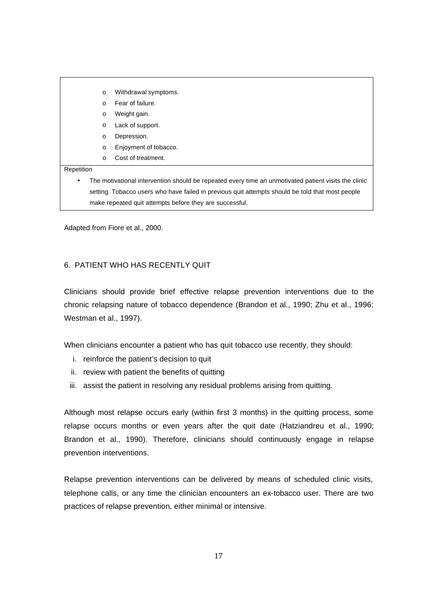|                                                                                                  | $\circ$  | Withdrawal symptoms.                                                                                 |
|--------------------------------------------------------------------------------------------------|----------|------------------------------------------------------------------------------------------------------|
|                                                                                                  | $\Omega$ | Fear of failure.                                                                                     |
|                                                                                                  | $\circ$  | Weight gain.                                                                                         |
|                                                                                                  | $\circ$  | Lack of support.                                                                                     |
|                                                                                                  | $\circ$  | Depression.                                                                                          |
|                                                                                                  | $\circ$  | Enjoyment of tobacco.                                                                                |
|                                                                                                  | $\Omega$ | Cost of treatment.                                                                                   |
| Repetition                                                                                       |          |                                                                                                      |
| $\bullet$                                                                                        |          | The motivational intervention should be repeated every time an unmotivated patient visits the clinic |
| setting. Tobacco users who have failed in previous quit attempts should be told that most people |          |                                                                                                      |
| make repeated quit attempts before they are successful.                                          |          |                                                                                                      |

Adapted from Fiore et al., 2000.

#### 6. PATIENT WHO HAS RECENTLY QUIT

Clinicians should provide brief effective relapse prevention interventions due to the chronic relapsing nature of tobacco dependence (Brandon et al., 1990; Zhu et al., 1996; Westman et al., 1997).

When clinicians encounter a patient who has quit tobacco use recently, they should:

- i. reinforce the patient's decision to quit
- ii. review with patient the benefits of quitting
- iii. assist the patient in resolving any residual problems arising from quitting.

Although most relapse occurs early (within first 3 months) in the quitting process, some relapse occurs months or even years after the quit date (Hatziandreu et al., 1990; Brandon et al., 1990). Therefore, clinicians should continuously engage in relapse prevention interventions.

Relapse prevention interventions can be delivered by means of scheduled clinic visits, telephone calls, or any time the clinician encounters an ex-tobacco user. There are two practices of relapse prevention, either minimal or intensive.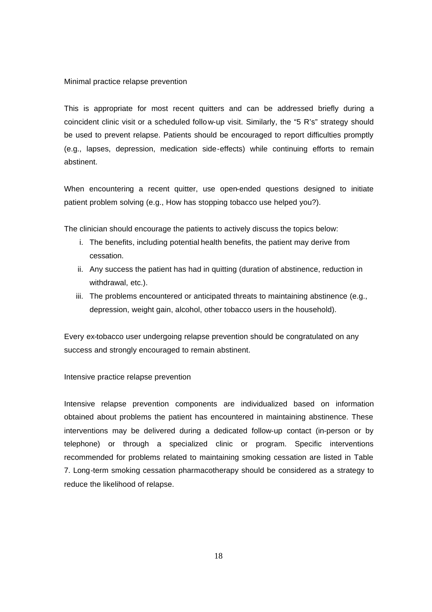#### Minimal practice relapse prevention

This is appropriate for most recent quitters and can be addressed briefly during a coincident clinic visit or a scheduled follow-up visit. Similarly, the "5 R's" strategy should be used to prevent relapse. Patients should be encouraged to report difficulties promptly (e.g., lapses, depression, medication side-effects) while continuing efforts to remain abstinent.

When encountering a recent quitter, use open-ended questions designed to initiate patient problem solving (e.g., How has stopping tobacco use helped you?).

The clinician should encourage the patients to actively discuss the topics below:

- i. The benefits, including potential health benefits, the patient may derive from cessation.
- ii. Any success the patient has had in quitting (duration of abstinence, reduction in withdrawal, etc.).
- iii. The problems encountered or anticipated threats to maintaining abstinence (e.g., depression, weight gain, alcohol, other tobacco users in the household).

Every ex-tobacco user undergoing relapse prevention should be congratulated on any success and strongly encouraged to remain abstinent.

Intensive practice relapse prevention

Intensive relapse prevention components are individualized based on information obtained about problems the patient has encountered in maintaining abstinence. These interventions may be delivered during a dedicated follow-up contact (in-person or by telephone) or through a specialized clinic or program. Specific interventions recommended for problems related to maintaining smoking cessation are listed in Table 7. Long-term smoking cessation pharmacotherapy should be considered as a strategy to reduce the likelihood of relapse.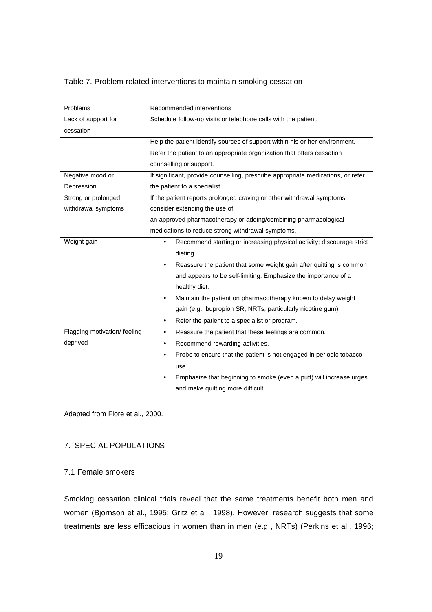Table 7. Problem-related interventions to maintain smoking cessation

| Problems                     | Recommended interventions                                                        |
|------------------------------|----------------------------------------------------------------------------------|
| Lack of support for          | Schedule follow-up visits or telephone calls with the patient.                   |
| cessation                    |                                                                                  |
|                              | Help the patient identify sources of support within his or her environment.      |
|                              | Refer the patient to an appropriate organization that offers cessation           |
|                              | counselling or support.                                                          |
| Negative mood or             | If significant, provide counselling, prescribe appropriate medications, or refer |
| Depression                   | the patient to a specialist.                                                     |
| Strong or prolonged          | If the patient reports prolonged craving or other withdrawal symptoms,           |
| withdrawal symptoms          | consider extending the use of                                                    |
|                              | an approved pharmacotherapy or adding/combining pharmacological                  |
|                              | medications to reduce strong withdrawal symptoms.                                |
| Weight gain                  | Recommend starting or increasing physical activity; discourage strict            |
|                              | dieting.                                                                         |
|                              | Reassure the patient that some weight gain after quitting is common<br>٠         |
|                              | and appears to be self-limiting. Emphasize the importance of a                   |
|                              | healthy diet.                                                                    |
|                              | Maintain the patient on pharmacotherapy known to delay weight<br>$\bullet$       |
|                              | gain (e.g., bupropion SR, NRTs, particularly nicotine gum).                      |
|                              | Refer the patient to a specialist or program.<br>$\bullet$                       |
| Flagging motivation/ feeling | Reassure the patient that these feelings are common.<br>$\bullet$                |
| deprived                     | Recommend rewarding activities.<br>٠                                             |
|                              | Probe to ensure that the patient is not engaged in periodic tobacco              |
|                              | use.                                                                             |
|                              | Emphasize that beginning to smoke (even a puff) will increase urges              |
|                              | and make quitting more difficult.                                                |

Adapted from Fiore et al., 2000.

## 7. SPECIAL POPULATIONS

#### 7.1 Female smokers

Smoking cessation clinical trials reveal that the same treatments benefit both men and women (Bjornson et al., 1995; Gritz et al., 1998). However, research suggests that some treatments are less efficacious in women than in men (e.g., NRTs) (Perkins et al., 1996;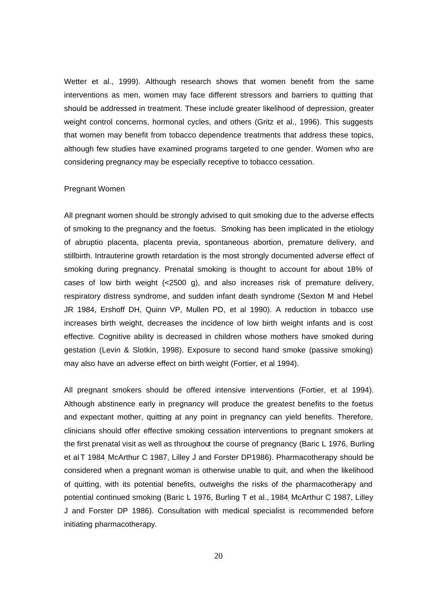Wetter et al., 1999). Although research shows that women benefit from the same interventions as men, women may face different stressors and barriers to quitting that should be addressed in treatment. These include greater likelihood of depression, greater weight control concerns, hormonal cycles, and others (Gritz et al., 1996). This suggests that women may benefit from tobacco dependence treatments that address these topics, although few studies have examined programs targeted to one gender. Women who are considering pregnancy may be especially receptive to tobacco cessation.

#### Pregnant Women

All pregnant women should be strongly advised to quit smoking due to the adverse effects of smoking to the pregnancy and the foetus. Smoking has been implicated in the etiology of abruptio placenta, placenta previa, spontaneous abortion, premature delivery, and stillbirth. Intrauterine growth retardation is the most strongly documented adverse effect of smoking during pregnancy. Prenatal smoking is thought to account for about 18% of cases of low birth weight (<2500 g), and also increases risk of premature delivery, respiratory distress syndrome, and sudden infant death syndrome (Sexton M and Hebel JR 1984, Ershoff DH, Quinn VP, Mullen PD, et al 1990). A reduction in tobacco use increases birth weight, decreases the incidence of low birth weight infants and is cost effective. Cognitive ability is decreased in children whose mothers have smoked during gestation (Levin & Slotkin, 1998). Exposure to second hand smoke (passive smoking) may also have an adverse effect on birth weight (Fortier, et al 1994).

All pregnant smokers should be offered intensive interventions (Fortier, et al 1994). Although abstinence early in pregnancy will produce the greatest benefits to the foetus and expectant mother, quitting at any point in pregnancy can yield benefits. Therefore, clinicians should offer effective smoking cessation interventions to pregnant smokers at the first prenatal visit as well as throughout the course of pregnancy (Baric L 1976, Burling et al T 1984, McArthur C 1987, Lilley J and Forster DP1986). Pharmacotherapy should be considered when a pregnant woman is otherwise unable to quit, and when the likelihood of quitting, with its potential benefits, outweighs the risks of the pharmacotherapy and potential continued smoking (Baric L 1976, Burling T et al., 1984, McArthur C 1987, Lilley J and Forster DP 1986). Consultation with medical specialist is recommended before initiating pharmacotherapy.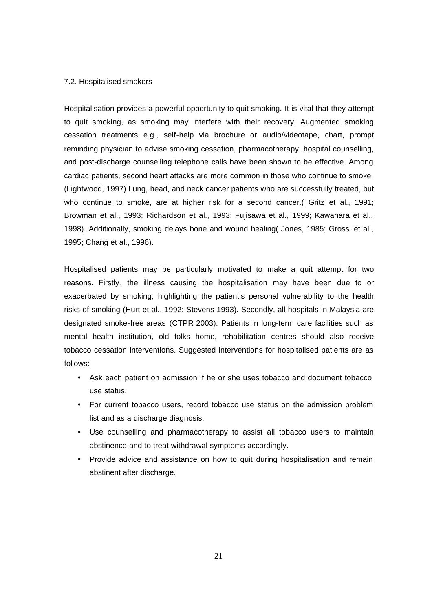#### 7.2. Hospitalised smokers

Hospitalisation provides a powerful opportunity to quit smoking. It is vital that they attempt to quit smoking, as smoking may interfere with their recovery. Augmented smoking cessation treatments e.g., self-help via brochure or audio/videotape, chart, prompt reminding physician to advise smoking cessation, pharmacotherapy, hospital counselling, and post-discharge counselling telephone calls have been shown to be effective. Among cardiac patients, second heart attacks are more common in those who continue to smoke. (Lightwood, 1997) Lung, head, and neck cancer patients who are successfully treated, but who continue to smoke, are at higher risk for a second cancer.( Gritz et al., 1991; Browman et al., 1993; Richardson et al., 1993; Fujisawa et al., 1999; Kawahara et al., 1998). Additionally, smoking delays bone and wound healing( Jones, 1985; Grossi et al., 1995; Chang et al., 1996).

Hospitalised patients may be particularly motivated to make a quit attempt for two reasons. Firstly, the illness causing the hospitalisation may have been due to or exacerbated by smoking, highlighting the patient's personal vulnerability to the health risks of smoking (Hurt et al., 1992; Stevens 1993). Secondly, all hospitals in Malaysia are designated smoke-free areas (CTPR 2003). Patients in long-term care facilities such as mental health institution, old folks home, rehabilitation centres should also receive tobacco cessation interventions. Suggested interventions for hospitalised patients are as follows:

- Ask each patient on admission if he or she uses tobacco and document tobacco use status.
- For current tobacco users, record tobacco use status on the admission problem list and as a discharge diagnosis.
- Use counselling and pharmacotherapy to assist all tobacco users to maintain abstinence and to treat withdrawal symptoms accordingly.
- Provide advice and assistance on how to quit during hospitalisation and remain abstinent after discharge.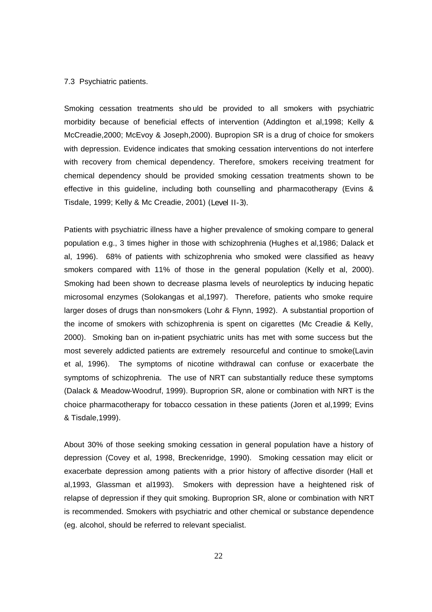#### 7.3 Psychiatric patients.

Smoking cessation treatments sho uld be provided to all smokers with psychiatric morbidity because of beneficial effects of intervention (Addington et al,1998; Kelly & McCreadie,2000; McEvoy & Joseph,2000). Bupropion SR is a drug of choice for smokers with depression. Evidence indicates that smoking cessation interventions do not interfere with recovery from chemical dependency. Therefore, smokers receiving treatment for chemical dependency should be provided smoking cessation treatments shown to be effective in this guideline, including both counselling and pharmacotherapy (Evins & Tisdale, 1999; Kelly & Mc Creadie, 2001) (Level II-3).

Patients with psychiatric illness have a higher prevalence of smoking compare to general population e.g., 3 times higher in those with schizophrenia (Hughes et al,1986; Dalack et al, 1996). 68% of patients with schizophrenia who smoked were classified as heavy smokers compared with 11% of those in the general population (Kelly et al, 2000). Smoking had been shown to decrease plasma levels of neuroleptics by inducing hepatic microsomal enzymes (Solokangas et al,1997). Therefore, patients who smoke require larger doses of drugs than non-smokers (Lohr & Flynn, 1992). A substantial proportion of the income of smokers with schizophrenia is spent on cigarettes (Mc Creadie & Kelly, 2000). Smoking ban on in-patient psychiatric units has met with some success but the most severely addicted patients are extremely resourceful and continue to smoke(Lavin et al, 1996). The symptoms of nicotine withdrawal can confuse or exacerbate the symptoms of schizophrenia. The use of NRT can substantially reduce these symptoms (Dalack & Meadow-Woodruf, 1999). Buproprion SR, alone or combination with NRT is the choice pharmacotherapy for tobacco cessation in these patients (Joren et al,1999; Evins & Tisdale,1999).

About 30% of those seeking smoking cessation in general population have a history of depression (Covey et al, 1998, Breckenridge, 1990). Smoking cessation may elicit or exacerbate depression among patients with a prior history of affective disorder (Hall et al,1993, Glassman et al1993). Smokers with depression have a heightened risk of relapse of depression if they quit smoking. Buproprion SR, alone or combination with NRT is recommended. Smokers with psychiatric and other chemical or substance dependence (eg. alcohol, should be referred to relevant specialist.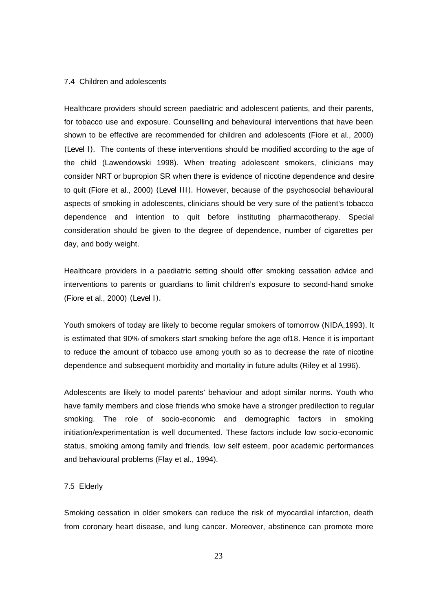#### 7.4 Children and adolescents

Healthcare providers should screen paediatric and adolescent patients, and their parents, for tobacco use and exposure. Counselling and behavioural interventions that have been shown to be effective are recommended for children and adolescents (Fiore et al., 2000) (Level I). The contents of these interventions should be modified according to the age of the child (Lawendowski 1998). When treating adolescent smokers, clinicians may consider NRT or bupropion SR when there is evidence of nicotine dependence and desire to quit (Fiore et al., 2000) (Level III). However, because of the psychosocial behavioural aspects of smoking in adolescents, clinicians should be very sure of the patient's tobacco dependence and intention to quit before instituting pharmacotherapy. Special consideration should be given to the degree of dependence, number of cigarettes per day, and body weight.

Healthcare providers in a paediatric setting should offer smoking cessation advice and interventions to parents or guardians to limit children's exposure to second-hand smoke (Fiore et al., 2000) (Level I).

Youth smokers of today are likely to become regular smokers of tomorrow (NIDA,1993). It is estimated that 90% of smokers start smoking before the age of18. Hence it is important to reduce the amount of tobacco use among youth so as to decrease the rate of nicotine dependence and subsequent morbidity and mortality in future adults (Riley et al 1996).

Adolescents are likely to model parents' behaviour and adopt similar norms. Youth who have family members and close friends who smoke have a stronger predilection to regular smoking. The role of socio-economic and demographic factors in smoking initiation/experimentation is well documented. These factors include low socio-economic status, smoking among family and friends, low self esteem, poor academic performances and behavioural problems (Flay et al., 1994).

#### 7.5 Elderly

Smoking cessation in older smokers can reduce the risk of myocardial infarction, death from coronary heart disease, and lung cancer. Moreover, abstinence can promote more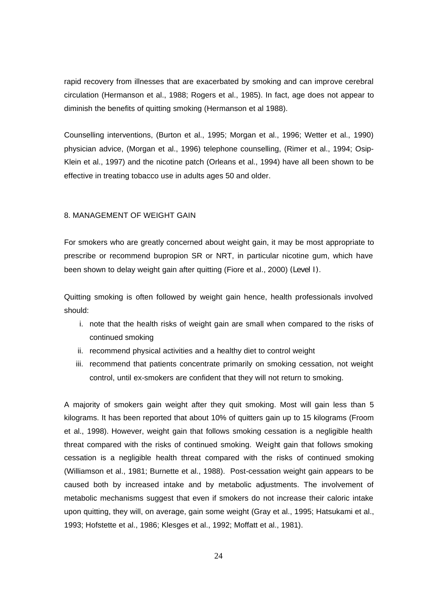rapid recovery from illnesses that are exacerbated by smoking and can improve cerebral circulation (Hermanson et al., 1988; Rogers et al., 1985). In fact, age does not appear to diminish the benefits of quitting smoking (Hermanson et al 1988).

Counselling interventions, (Burton et al., 1995; Morgan et al., 1996; Wetter et al., 1990) physician advice, (Morgan et al., 1996) telephone counselling, (Rimer et al., 1994; Osip-Klein et al., 1997) and the nicotine patch (Orleans et al., 1994) have all been shown to be effective in treating tobacco use in adults ages 50 and older.

#### 8. MANAGEMENT OF WEIGHT GAIN

For smokers who are greatly concerned about weight gain, it may be most appropriate to prescribe or recommend bupropion SR or NRT, in particular nicotine gum, which have been shown to delay weight gain after quitting (Fiore et al., 2000) (Level I).

Quitting smoking is often followed by weight gain hence, health professionals involved should:

- i. note that the health risks of weight gain are small when compared to the risks of continued smoking
- ii. recommend physical activities and a healthy diet to control weight
- iii. recommend that patients concentrate primarily on smoking cessation, not weight control, until ex-smokers are confident that they will not return to smoking.

A majority of smokers gain weight after they quit smoking. Most will gain less than 5 kilograms. It has been reported that about 10% of quitters gain up to 15 kilograms (Froom et al., 1998). However, weight gain that follows smoking cessation is a negligible health threat compared with the risks of continued smoking. Weight gain that follows smoking cessation is a negligible health threat compared with the risks of continued smoking (Williamson et al., 1981; Burnette et al., 1988). Post-cessation weight gain appears to be caused both by increased intake and by metabolic adjustments. The involvement of metabolic mechanisms suggest that even if smokers do not increase their caloric intake upon quitting, they will, on average, gain some weight (Gray et al., 1995; Hatsukami et al., 1993; Hofstette et al., 1986; Klesges et al., 1992; Moffatt et al., 1981).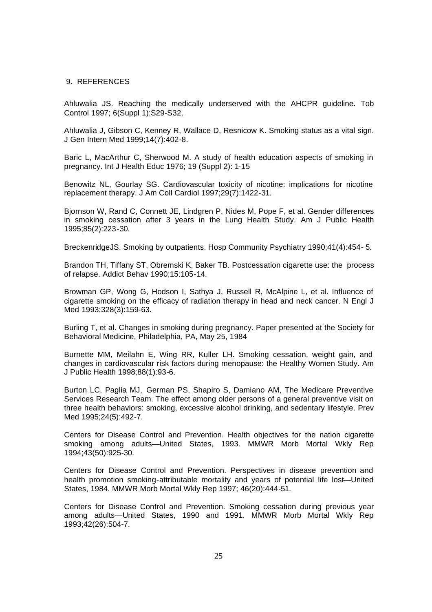#### 9. REFERENCES

Ahluwalia JS. Reaching the medically underserved with the AHCPR guideline. Tob Control 1997; 6(Suppl 1):S29-S32.

Ahluwalia J, Gibson C, Kenney R, Wallace D, Resnicow K. Smoking status as a vital sign. J Gen Intern Med 1999;14(7):402-8.

Baric L, MacArthur C, Sherwood M. A study of health education aspects of smoking in pregnancy. Int J Health Educ 1976; 19 (Suppl 2): 1-15

Benowitz NL, Gourlay SG. Cardiovascular toxicity of nicotine: implications for nicotine replacement therapy. J Am Coll Cardiol 1997;29(7):1422-31.

Bjornson W, Rand C, Connett JE, Lindgren P, Nides M, Pope F, et al. Gender differences in smoking cessation after 3 years in the Lung Health Study. Am J Public Health 1995;85(2):223-30.

BreckenridgeJS. Smoking by outpatients. Hosp Community Psychiatry 1990;41(4):454- 5.

Brandon TH, Tiffany ST, Obremski K, Baker TB. Postcessation cigarette use: the process of relapse. Addict Behav 1990;15:105-14.

Browman GP, Wong G, Hodson I, Sathya J, Russell R, McAlpine L, et al. Influence of cigarette smoking on the efficacy of radiation therapy in head and neck cancer. N Engl J Med 1993;328(3):159-63.

Burling T, et al. Changes in smoking during pregnancy. Paper presented at the Society for Behavioral Medicine, Philadelphia, PA, May 25, 1984

Burnette MM, Meilahn E, Wing RR, Kuller LH. Smoking cessation, weight gain, and changes in cardiovascular risk factors during menopause: the Healthy Women Study. Am J Public Health 1998;88(1):93-6.

Burton LC, Paglia MJ, German PS, Shapiro S, Damiano AM, The Medicare Preventive Services Research Team. The effect among older persons of a general preventive visit on three health behaviors: smoking, excessive alcohol drinking, and sedentary lifestyle. Prev Med 1995;24(5):492-7.

Centers for Disease Control and Prevention. Health objectives for the nation cigarette smoking among adults—United States, 1993. MMWR Morb Mortal Wkly Rep 1994;43(50):925-30.

Centers for Disease Control and Prevention. Perspectives in disease prevention and health promotion smoking-attributable mortality and years of potential life lost—United States, 1984. MMWR Morb Mortal Wkly Rep 1997; 46(20):444-51.

Centers for Disease Control and Prevention. Smoking cessation during previous year among adults—United States, 1990 and 1991. MMWR Morb Mortal Wkly Rep 1993;42(26):504-7.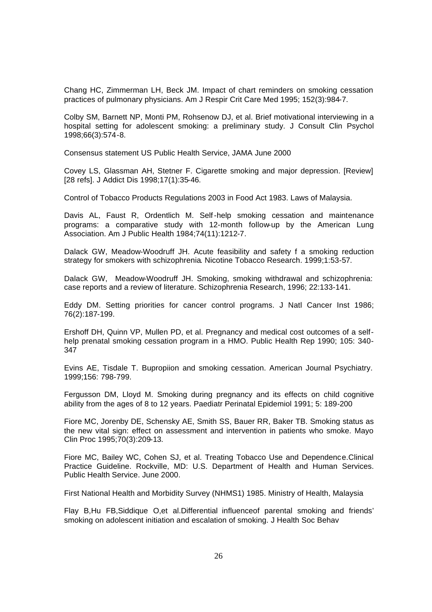Chang HC, Zimmerman LH, Beck JM. Impact of chart reminders on smoking cessation practices of pulmonary physicians. Am J Respir Crit Care Med 1995; 152(3):984-7.

Colby SM, Barnett NP, Monti PM, Rohsenow DJ, et al. Brief motivational interviewing in a hospital setting for adolescent smoking: a preliminary study. J Consult Clin Psychol 1998;66(3):574-8.

Consensus statement US Public Health Service, JAMA June 2000

Covey LS, Glassman AH, Stetner F. Cigarette smoking and major depression. [Review] [28 refs]. J Addict Dis 1998;17(1):35-46.

Control of Tobacco Products Regulations 2003 in Food Act 1983. Laws of Malaysia.

Davis AL, Faust R, Ordentlich M. Self-help smoking cessation and maintenance programs: a comparative study with 12-month follow-up by the American Lung Association. Am J Public Health 1984;74(11):1212-7.

Dalack GW, Meadow-Woodruff JH. Acute feasibility and safety f a smoking reduction strategy for smokers with schizophrenia. Nicotine Tobacco Research. 1999;1:53-57.

Dalack GW, Meadow-Woodruff JH. Smoking, smoking withdrawal and schizophrenia: case reports and a review of literature. Schizophrenia Research, 1996; 22:133-141.

Eddy DM. Setting priorities for cancer control programs. J Natl Cancer Inst 1986; 76(2):187-199.

Ershoff DH, Quinn VP, Mullen PD, et al. Pregnancy and medical cost outcomes of a selfhelp prenatal smoking cessation program in a HMO. Public Health Rep 1990; 105: 340- 347

Evins AE, Tisdale T. Bupropiion and smoking cessation. American Journal Psychiatry. 1999;156: 798-799.

Fergusson DM, Lloyd M. Smoking during pregnancy and its effects on child cognitive ability from the ages of 8 to 12 years. Paediatr Perinatal Epidemiol 1991; 5: 189-200

Fiore MC, Jorenby DE, Schensky AE, Smith SS, Bauer RR, Baker TB. Smoking status as the new vital sign: effect on assessment and intervention in patients who smoke. Mayo Clin Proc 1995;70(3):209-13.

Fiore MC, Bailey WC, Cohen SJ, et al. Treating Tobacco Use and Dependence.Clinical Practice Guideline. Rockville, MD: U.S. Department of Health and Human Services. Public Health Service. June 2000.

First National Health and Morbidity Survey (NHMS1) 1985. Ministry of Health, Malaysia

Flay B,Hu FB,Siddique O,et al.Differential influenceof parental smoking and friends' smoking on adolescent initiation and escalation of smoking. J Health Soc Behav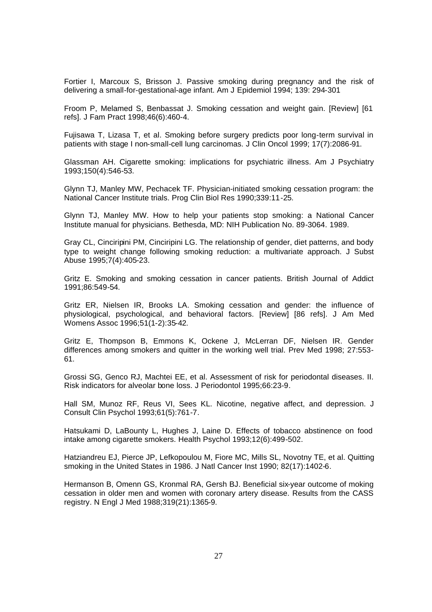Fortier I, Marcoux S, Brisson J. Passive smoking during pregnancy and the risk of delivering a small-for-gestational-age infant. Am J Epidemiol 1994; 139: 294-301

Froom P, Melamed S, Benbassat J. Smoking cessation and weight gain. [Review] [61 refs]. J Fam Pract 1998;46(6):460-4.

Fujisawa T, Lizasa T, et al. Smoking before surgery predicts poor long-term survival in patients with stage I non-small-cell lung carcinomas. J Clin Oncol 1999; 17(7):2086-91.

Glassman AH. Cigarette smoking: implications for psychiatric illness. Am J Psychiatry 1993;150(4):546-53.

Glynn TJ, Manley MW, Pechacek TF. Physician-initiated smoking cessation program: the National Cancer Institute trials. Prog Clin Biol Res 1990;339:11-25.

Glynn TJ, Manley MW. How to help your patients stop smoking: a National Cancer Institute manual for physicians. Bethesda, MD: NIH Publication No. 89-3064. 1989.

Gray CL, Cinciripini PM, Cinciripini LG. The relationship of gender, diet patterns, and body type to weight change following smoking reduction: a multivariate approach. J Subst Abuse 1995;7(4):405-23.

Gritz E. Smoking and smoking cessation in cancer patients. British Journal of Addict 1991;86:549-54.

Gritz ER, Nielsen IR, Brooks LA. Smoking cessation and gender: the influence of physiological, psychological, and behavioral factors. [Review] [86 refs]. J Am Med Womens Assoc 1996;51(1-2):35-42.

Gritz E, Thompson B, Emmons K, Ockene J, McLerran DF, Nielsen IR. Gender differences among smokers and quitter in the working well trial. Prev Med 1998; 27:553- 61.

Grossi SG, Genco RJ, Machtei EE, et al. Assessment of risk for periodontal diseases. II. Risk indicators for alveolar bone loss. J Periodontol 1995;66:23-9.

Hall SM, Munoz RF, Reus VI, Sees KL. Nicotine, negative affect, and depression. J Consult Clin Psychol 1993;61(5):761-7.

Hatsukami D, LaBounty L, Hughes J, Laine D. Effects of tobacco abstinence on food intake among cigarette smokers. Health Psychol 1993;12(6):499-502.

Hatziandreu EJ, Pierce JP, Lefkopoulou M, Fiore MC, Mills SL, Novotny TE, et al. Quitting smoking in the United States in 1986. J Natl Cancer Inst 1990; 82(17):1402-6.

Hermanson B, Omenn GS, Kronmal RA, Gersh BJ. Beneficial six-year outcome of moking cessation in older men and women with coronary artery disease. Results from the CASS registry. N Engl J Med 1988;319(21):1365-9.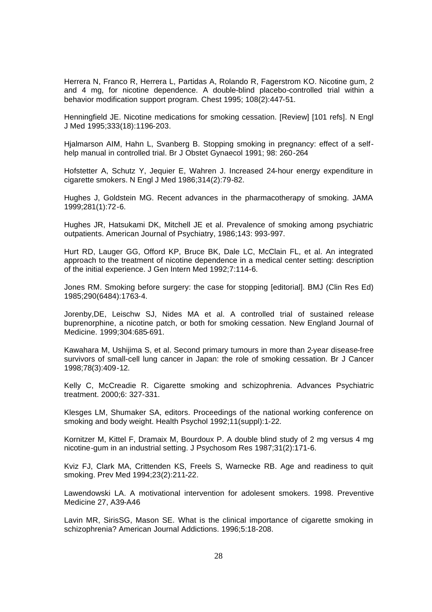Herrera N, Franco R, Herrera L, Partidas A, Rolando R, Fagerstrom KO. Nicotine gum, 2 and 4 mg, for nicotine dependence. A double-blind placebo-controlled trial within a behavior modification support program. Chest 1995; 108(2):447-51.

Henningfield JE. Nicotine medications for smoking cessation. [Review] [101 refs]. N Engl J Med 1995;333(18):1196-203.

Hjalmarson AIM, Hahn L, Svanberg B. Stopping smoking in pregnancy: effect of a selfhelp manual in controlled trial. Br J Obstet Gynaecol 1991; 98: 260-264

Hofstetter A, Schutz Y, Jequier E, Wahren J. Increased 24-hour energy expenditure in cigarette smokers. N Engl J Med 1986;314(2):79-82.

Hughes J, Goldstein MG. Recent advances in the pharmacotherapy of smoking. JAMA 1999;281(1):72-6.

Hughes JR, Hatsukami DK, Mitchell JE et al. Prevalence of smoking among psychiatric outpatients. American Journal of Psychiatry, 1986;143: 993-997.

Hurt RD, Lauger GG, Offord KP, Bruce BK, Dale LC, McClain FL, et al. An integrated approach to the treatment of nicotine dependence in a medical center setting: description of the initial experience. J Gen Intern Med 1992;7:114-6.

Jones RM. Smoking before surgery: the case for stopping [editorial]. BMJ (Clin Res Ed) 1985;290(6484):1763-4.

Jorenby,DE, Leischw SJ, Nides MA et al. A controlled trial of sustained release buprenorphine, a nicotine patch, or both for smoking cessation. New England Journal of Medicine. 1999;304:685-691.

Kawahara M, Ushijima S, et al. Second primary tumours in more than 2-year disease-free survivors of small-cell lung cancer in Japan: the role of smoking cessation. Br J Cancer 1998;78(3):409-12.

Kelly C, McCreadie R. Cigarette smoking and schizophrenia. Advances Psychiatric treatment. 2000;6: 327-331.

Klesges LM, Shumaker SA, editors. Proceedings of the national working conference on smoking and body weight. Health Psychol 1992;11(suppl):1-22.

Kornitzer M, Kittel F, Dramaix M, Bourdoux P. A double blind study of 2 mg versus 4 mg nicotine-gum in an industrial setting. J Psychosom Res 1987;31(2):171-6.

Kviz FJ, Clark MA, Crittenden KS, Freels S, Warnecke RB. Age and readiness to quit smoking. Prev Med 1994;23(2):211-22.

Lawendowski LA. A motivational intervention for adolesent smokers. 1998. Preventive Medicine 27, A39-A46

Lavin MR, SirisSG, Mason SE. What is the clinical importance of cigarette smoking in schizophrenia? American Journal Addictions. 1996;5:18-208.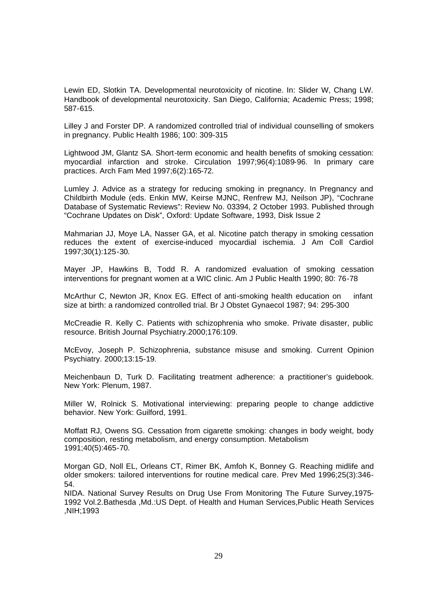Lewin ED, Slotkin TA. Developmental neurotoxicity of nicotine. In: Slider W, Chang LW. Handbook of developmental neurotoxicity. San Diego, California; Academic Press; 1998; 587-615.

Lilley J and Forster DP. A randomized controlled trial of individual counselling of smokers in pregnancy. Public Health 1986; 100: 309-315

Lightwood JM, Glantz SA. Short-term economic and health benefits of smoking cessation: myocardial infarction and stroke. Circulation 1997;96(4):1089-96. In primary care practices. Arch Fam Med 1997;6(2):165-72.

Lumley J. Advice as a strategy for reducing smoking in pregnancy. In Pregnancy and Childbirth Module (eds. Enkin MW, Keirse MJNC, Renfrew MJ, Neilson JP), "Cochrane Database of Systematic Reviews": Review No. 03394, 2 October 1993. Published through "Cochrane Updates on Disk", Oxford: Update Software, 1993, Disk Issue 2

Mahmarian JJ, Moye LA, Nasser GA, et al. Nicotine patch therapy in smoking cessation reduces the extent of exercise-induced myocardial ischemia. J Am Coll Cardiol 1997;30(1):125-30.

Mayer JP, Hawkins B, Todd R. A randomized evaluation of smoking cessation interventions for pregnant women at a WIC clinic. Am J Public Health 1990; 80: 76-78

McArthur C, Newton JR, Knox EG. Effect of anti-smoking health education on infant size at birth: a randomized controlled trial. Br J Obstet Gynaecol 1987; 94: 295-300

McCreadie R. Kelly C. Patients with schizophrenia who smoke. Private disaster, public resource. British Journal Psychiatry.2000;176:109.

McEvoy, Joseph P. Schizophrenia, substance misuse and smoking. Current Opinion Psychiatry. 2000;13:15-19.

Meichenbaun D, Turk D. Facilitating treatment adherence: a practitioner's guidebook. New York: Plenum, 1987.

Miller W, Rolnick S. Motivational interviewing: preparing people to change addictive behavior. New York: Guilford, 1991.

Moffatt RJ, Owens SG. Cessation from cigarette smoking: changes in body weight, body composition, resting metabolism, and energy consumption. Metabolism 1991;40(5):465-70.

Morgan GD, Noll EL, Orleans CT, Rimer BK, Amfoh K, Bonney G. Reaching midlife and older smokers: tailored interventions for routine medical care. Prev Med 1996;25(3):346- 54.

NIDA. National Survey Results on Drug Use From Monitoring The Future Survey,1975- 1992 Vol.2.Bathesda ,Md.:US Dept. of Health and Human Services,Public Heath Services ,NIH;1993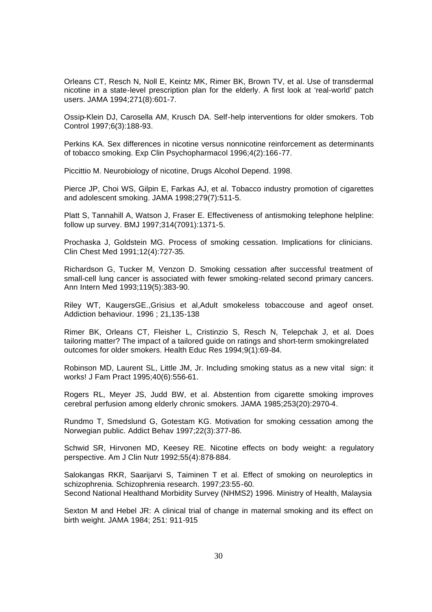Orleans CT, Resch N, Noll E, Keintz MK, Rimer BK, Brown TV, et al. Use of transdermal nicotine in a state-level prescription plan for the elderly. A first look at 'real-world' patch users. JAMA 1994;271(8):601-7.

Ossip-Klein DJ, Carosella AM, Krusch DA. Self-help interventions for older smokers. Tob Control 1997;6(3):188-93.

Perkins KA. Sex differences in nicotine versus nonnicotine reinforcement as determinants of tobacco smoking. Exp Clin Psychopharmacol 1996;4(2):166-77.

Piccittio M. Neurobiology of nicotine, Drugs Alcohol Depend. 1998.

Pierce JP, Choi WS, Gilpin E, Farkas AJ, et al. Tobacco industry promotion of cigarettes and adolescent smoking. JAMA 1998;279(7):511-5.

Platt S, Tannahill A, Watson J, Fraser E. Effectiveness of antismoking telephone helpline: follow up survey. BMJ 1997;314(7091):1371-5.

Prochaska J, Goldstein MG. Process of smoking cessation. Implications for clinicians. Clin Chest Med 1991;12(4):727-35.

Richardson G, Tucker M, Venzon D. Smoking cessation after successful treatment of small-cell lung cancer is associated with fewer smoking-related second primary cancers. Ann Intern Med 1993;119(5):383-90.

Riley WT, KaugersGE.,Grisius et al,Adult smokeless tobaccouse and ageof onset. Addiction behaviour. 1996 ; 21,135-138

Rimer BK, Orleans CT, Fleisher L, Cristinzio S, Resch N, Telepchak J, et al. Does tailoring matter? The impact of a tailored guide on ratings and short-term smokingrelated outcomes for older smokers. Health Educ Res 1994;9(1):69-84.

Robinson MD, Laurent SL, Little JM, Jr. Including smoking status as a new vital sign: it works! J Fam Pract 1995;40(6):556-61.

Rogers RL, Meyer JS, Judd BW, et al. Abstention from cigarette smoking improves cerebral perfusion among elderly chronic smokers. JAMA 1985;253(20):2970-4.

Rundmo T, Smedslund G, Gotestam KG. Motivation for smoking cessation among the Norwegian public. Addict Behav 1997;22(3):377-86.

Schwid SR, Hirvonen MD, Keesey RE. Nicotine effects on body weight: a regulatory perspective. Am J Clin Nutr 1992;55(4):878-884.

Salokangas RKR, Saarijarvi S, Taiminen T et al. Effect of smoking on neuroleptics in schizophrenia. Schizophrenia research. 1997;23:55-60. Second National Healthand Morbidity Survey (NHMS2) 1996. Ministry of Health, Malaysia

Sexton M and Hebel JR: A clinical trial of change in maternal smoking and its effect on birth weight. JAMA 1984; 251: 911-915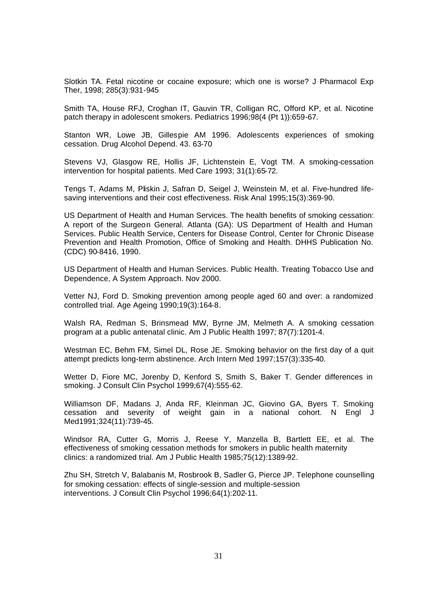Slotkin TA. Fetal nicotine or cocaine exposure; which one is worse? J Pharmacol Exp Ther, 1998; 285(3):931-945

Smith TA, House RFJ, Croghan IT, Gauvin TR, Colligan RC, Offord KP, et al. Nicotine patch therapy in adolescent smokers. Pediatrics 1996;98(4 (Pt 1)):659-67.

Stanton WR, Lowe JB, Gillespie AM 1996. Adolescents experiences of smoking cessation. Drug Alcohol Depend. 43. 63-70

Stevens VJ, Glasgow RE, Hollis JF, Lichtenstein E, Vogt TM. A smoking-cessation intervention for hospital patients. Med Care 1993; 31(1):65-72.

Tengs T, Adams M, Pliskin J, Safran D, Seigel J, Weinstein M, et al. Five-hundred lifesaving interventions and their cost effectiveness. Risk Anal 1995;15(3):369-90.

US Department of Health and Human Services. The health benefits of smoking cessation: A report of the Surgeon General. Atlanta (GA): US Department of Health and Human Services. Public Health Service, Centers for Disease Control, Center for Chronic Disease Prevention and Health Promotion, Office of Smoking and Health. DHHS Publication No. (CDC) 90-8416, 1990.

US Department of Health and Human Services. Public Health. Treating Tobacco Use and Dependence, A System Approach. Nov 2000.

Vetter NJ, Ford D. Smoking prevention among people aged 60 and over: a randomized controlled trial. Age Ageing 1990;19(3):164-8.

Walsh RA, Redman S, Brinsmead MW, Byrne JM, Melmeth A. A smoking cessation program at a public antenatal clinic. Am J Public Health 1997; 87(7):1201-4.

Westman EC, Behm FM, Simel DL, Rose JE. Smoking behavior on the first day of a quit attempt predicts long-term abstinence. Arch Intern Med 1997;157(3):335-40.

Wetter D, Fiore MC, Jorenby D, Kenford S, Smith S, Baker T. Gender differences in smoking. J Consult Clin Psychol 1999;67(4):555-62.

Williamson DF, Madans J, Anda RF, Kleinman JC, Giovino GA, Byers T. Smoking cessation and severity of weight gain in a national cohort. N Engl J Med1991;324(11):739-45.

Windsor RA, Cutter G, Morris J, Reese Y, Manzella B, Bartlett EE, et al. The effectiveness of smoking cessation methods for smokers in public health maternity clinics: a randomized trial. Am J Public Health 1985;75(12):1389-92.

Zhu SH, Stretch V, Balabanis M, Rosbrook B, Sadler G, Pierce JP. Telephone counselling for smoking cessation: effects of single-session and multiple-session interventions. J Consult Clin Psychol 1996;64(1):202-11.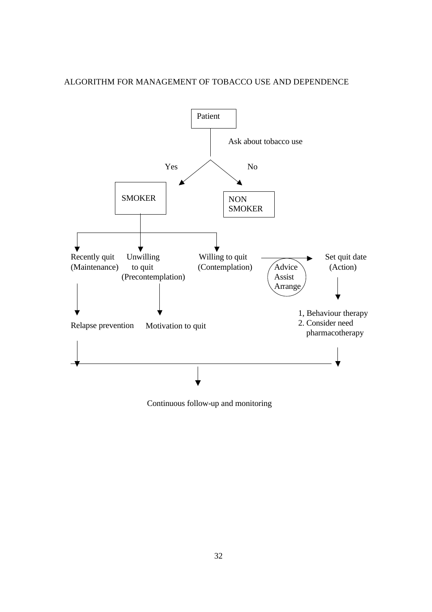



Continuous follow-up and monitoring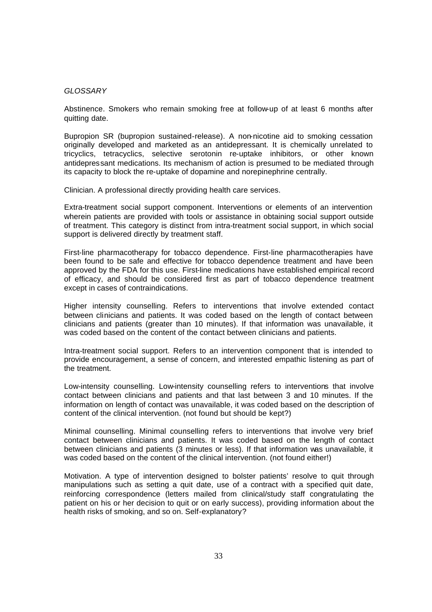#### *GLOSSARY*

Abstinence. Smokers who remain smoking free at follow-up of at least 6 months after quitting date.

Bupropion SR (bupropion sustained-release). A non-nicotine aid to smoking cessation originally developed and marketed as an antidepressant. It is chemically unrelated to tricyclics, tetracyclics, selective serotonin re-uptake inhibitors, or other known antidepressant medications. Its mechanism of action is presumed to be mediated through its capacity to block the re-uptake of dopamine and norepinephrine centrally.

Clinician. A professional directly providing health care services.

Extra-treatment social support component. Interventions or elements of an intervention wherein patients are provided with tools or assistance in obtaining social support outside of treatment. This category is distinct from intra-treatment social support, in which social support is delivered directly by treatment staff.

First-line pharmacotherapy for tobacco dependence. First-line pharmacotherapies have been found to be safe and effective for tobacco dependence treatment and have been approved by the FDA for this use. First-line medications have established empirical record of efficacy, and should be considered first as part of tobacco dependence treatment except in cases of contraindications.

Higher intensity counselling. Refers to interventions that involve extended contact between clinicians and patients. It was coded based on the length of contact between clinicians and patients (greater than 10 minutes). If that information was unavailable, it was coded based on the content of the contact between clinicians and patients.

Intra-treatment social support. Refers to an intervention component that is intended to provide encouragement, a sense of concern, and interested empathic listening as part of the treatment.

Low-intensity counselling. Low-intensity counselling refers to interventions that involve contact between clinicians and patients and that last between 3 and 10 minutes. If the information on length of contact was unavailable, it was coded based on the description of content of the clinical intervention. (not found but should be kept?)

Minimal counselling. Minimal counselling refers to interventions that involve very brief contact between clinicians and patients. It was coded based on the length of contact between clinicians and patients (3 minutes or less). If that information was unavailable, it was coded based on the content of the clinical intervention. (not found either!)

Motivation. A type of intervention designed to bolster patients' resolve to quit through manipulations such as setting a quit date, use of a contract with a specified quit date, reinforcing correspondence (letters mailed from clinical/study staff congratulating the patient on his or her decision to quit or on early success), providing information about the health risks of smoking, and so on. Self-explanatory?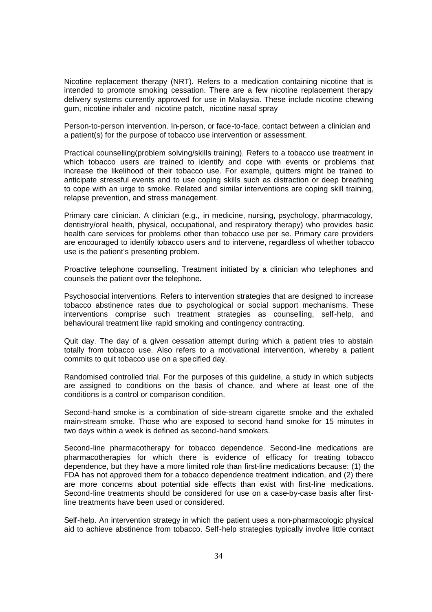Nicotine replacement therapy (NRT). Refers to a medication containing nicotine that is intended to promote smoking cessation. There are a few nicotine replacement therapy delivery systems currently approved for use in Malaysia. These include nicotine chewing gum, nicotine inhaler and nicotine patch, nicotine nasal spray

Person-to-person intervention. In-person, or face-to-face, contact between a clinician and a patient(s) for the purpose of tobacco use intervention or assessment.

Practical counselling(problem solving/skills training). Refers to a tobacco use treatment in which tobacco users are trained to identify and cope with events or problems that increase the likelihood of their tobacco use. For example, quitters might be trained to anticipate stressful events and to use coping skills such as distraction or deep breathing to cope with an urge to smoke. Related and similar interventions are coping skill training, relapse prevention, and stress management.

Primary care clinician. A clinician (e.g., in medicine, nursing, psychology, pharmacology, dentistry/oral health, physical, occupational, and respiratory therapy) who provides basic health care services for problems other than tobacco use per se. Primary care providers are encouraged to identify tobacco users and to intervene, regardless of whether tobacco use is the patient's presenting problem.

Proactive telephone counselling. Treatment initiated by a clinician who telephones and counsels the patient over the telephone.

Psychosocial interventions. Refers to intervention strategies that are designed to increase tobacco abstinence rates due to psychological or social support mechanisms. These interventions comprise such treatment strategies as counselling, self-help, and behavioural treatment like rapid smoking and contingency contracting.

Quit day. The day of a given cessation attempt during which a patient tries to abstain totally from tobacco use. Also refers to a motivational intervention, whereby a patient commits to quit tobacco use on a specified day.

Randomised controlled trial. For the purposes of this guideline, a study in which subjects are assigned to conditions on the basis of chance, and where at least one of the conditions is a control or comparison condition.

Second-hand smoke is a combination of side-stream cigarette smoke and the exhaled main-stream smoke. Those who are exposed to second hand smoke for 15 minutes in two days within a week is defined as second-hand smokers.

Second-line pharmacotherapy for tobacco dependence. Second-line medications are pharmacotherapies for which there is evidence of efficacy for treating tobacco dependence, but they have a more limited role than first-line medications because: (1) the FDA has not approved them for a tobacco dependence treatment indication, and (2) there are more concerns about potential side effects than exist with first-line medications. Second-line treatments should be considered for use on a case-by-case basis after firstline treatments have been used or considered.

Self-help. An intervention strategy in which the patient uses a non-pharmacologic physical aid to achieve abstinence from tobacco. Self-help strategies typically involve little contact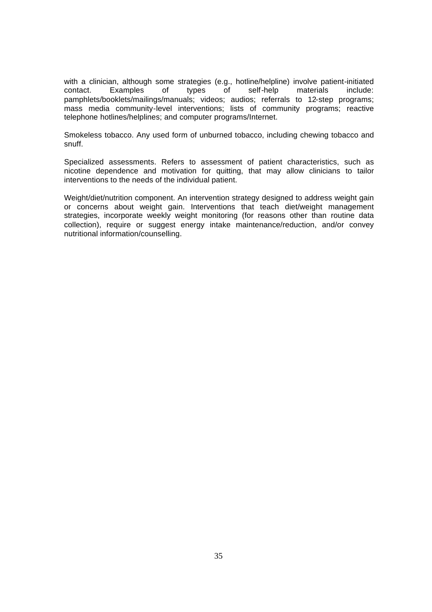with a clinician, although some strategies (e.g., hotline/helpline) involve patient-initiated contact. Examples of types of self-help materials include: pamphlets/booklets/mailings/manuals; videos; audios; referrals to 12-step programs; mass media community-level interventions; lists of community programs; reactive telephone hotlines/helplines; and computer programs/Internet.

Smokeless tobacco. Any used form of unburned tobacco, including chewing tobacco and snuff.

Specialized assessments. Refers to assessment of patient characteristics, such as nicotine dependence and motivation for quitting, that may allow clinicians to tailor interventions to the needs of the individual patient.

Weight/diet/nutrition component. An intervention strategy designed to address weight gain or concerns about weight gain. Interventions that teach diet/weight management strategies, incorporate weekly weight monitoring (for reasons other than routine data collection), require or suggest energy intake maintenance/reduction, and/or convey nutritional information/counselling.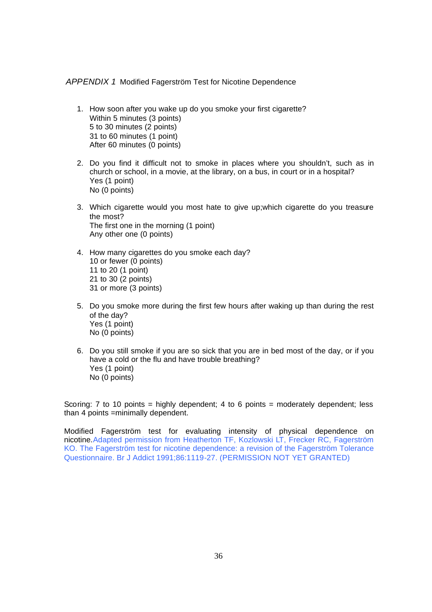#### *APPENDIX 1* Modified Fagerström Test for Nicotine Dependence

- 1. How soon after you wake up do you smoke your first cigarette? Within 5 minutes (3 points) 5 to 30 minutes (2 points) 31 to 60 minutes (1 point) After 60 minutes (0 points)
- 2. Do you find it difficult not to smoke in places where you shouldn't, such as in church or school, in a movie, at the library, on a bus, in court or in a hospital? Yes (1 point) No (0 points)
- 3. Which cigarette would you most hate to give up;which cigarette do you treasure the most? The first one in the morning (1 point) Any other one (0 points)
- 4. How many cigarettes do you smoke each day? 10 or fewer (0 points) 11 to 20 (1 point) 21 to 30 (2 points) 31 or more (3 points)
- 5. Do you smoke more during the first few hours after waking up than during the rest of the day? Yes (1 point) No (0 points)
- 6. Do you still smoke if you are so sick that you are in bed most of the day, or if you have a cold or the flu and have trouble breathing? Yes (1 point) No (0 points)

Scoring: 7 to 10 points = highly dependent; 4 to 6 points = moderately dependent; less than 4 points =minimally dependent.

Modified Fagerström test for evaluating intensity of physical dependence on nicotine.Adapted permission from Heatherton TF, Kozlowski LT, Frecker RC, Fagerström KO. The Fagerström test for nicotine dependence: a revision of the Fagerström Tolerance Questionnaire. Br J Addict 1991;86:1119-27. (PERMISSION NOT YET GRANTED)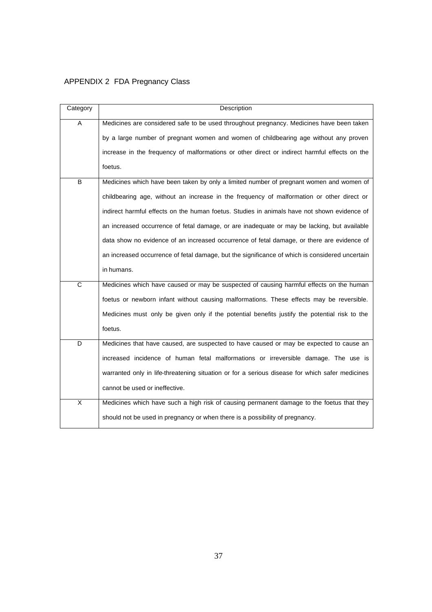## APPENDIX 2 FDA Pregnancy Class

| Category              | Description                                                                                     |
|-----------------------|-------------------------------------------------------------------------------------------------|
| A                     | Medicines are considered safe to be used throughout pregnancy. Medicines have been taken        |
|                       | by a large number of pregnant women and women of childbearing age without any proven            |
|                       | increase in the frequency of malformations or other direct or indirect harmful effects on the   |
|                       | foetus.                                                                                         |
| B                     | Medicines which have been taken by only a limited number of pregnant women and women of         |
|                       | childbearing age, without an increase in the frequency of malformation or other direct or       |
|                       | indirect harmful effects on the human foetus. Studies in animals have not shown evidence of     |
|                       | an increased occurrence of fetal damage, or are inadequate or may be lacking, but available     |
|                       | data show no evidence of an increased occurrence of fetal damage, or there are evidence of      |
|                       | an increased occurrence of fetal damage, but the significance of which is considered uncertain  |
|                       | in humans.                                                                                      |
| $\overline{\text{c}}$ | Medicines which have caused or may be suspected of causing harmful effects on the human         |
|                       | foetus or newborn infant without causing malformations. These effects may be reversible.        |
|                       | Medicines must only be given only if the potential benefits justify the potential risk to the   |
|                       | foetus.                                                                                         |
| D                     | Medicines that have caused, are suspected to have caused or may be expected to cause an         |
|                       | increased incidence of human fetal malformations or irreversible damage. The use is             |
|                       | warranted only in life-threatening situation or for a serious disease for which safer medicines |
|                       | cannot be used or ineffective.                                                                  |
| X                     | Medicines which have such a high risk of causing permanent damage to the foetus that they       |
|                       | should not be used in pregnancy or when there is a possibility of pregnancy.                    |

37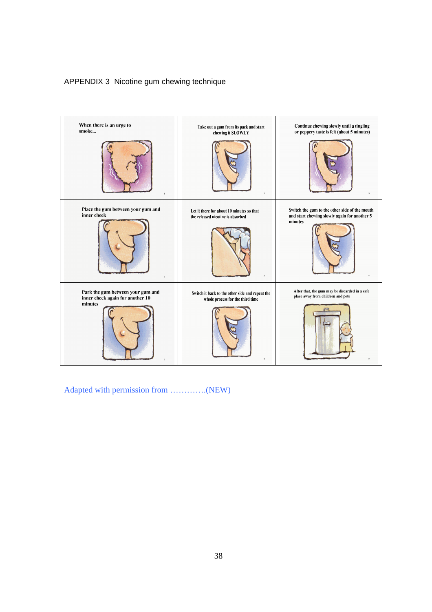## APPENDIX 3 Nicotine gum chewing technique



Adapted with permission from ………….(NEW)